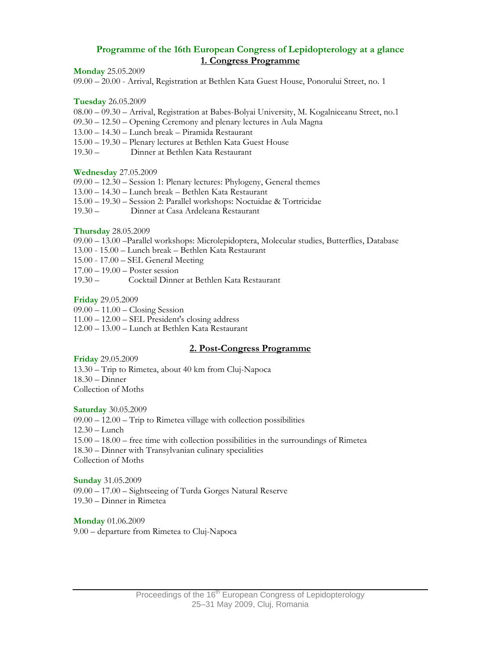# **Programme of the 16th European Congress of Lepidopterology at a glance 1. Congress Programme**

**Monday** 25.05.2009

09.00 – 20.00 - Arrival, Registration at Bethlen Kata Guest House, Ponorului Street, no. 1

**Tuesday** 26.05.2009

08.00 – 09.30 – Arrival, Registration at Babes-Bolyai University, M. Kogalniceanu Street, no.1

09.30 – 12.50 – Opening Ceremony and plenary lectures in Aula Magna

13.00 – 14.30 – Lunch break – Piramida Restaurant

15.00 – 19.30 – Plenary lectures at Bethlen Kata Guest House

19.30 – Dinner at Bethlen Kata Restaurant

**Wednesday** 27.05.2009

09.00 – 12.30 – Session 1: Plenary lectures: Phylogeny, General themes

13.00 – 14.30 – Lunch break – Bethlen Kata Restaurant

15.00 – 19.30 – Session 2: Parallel workshops: Noctuidae & Tortricidae

19.30 – Dinner at Casa Ardeleana Restaurant

**Thursday** 28.05.2009

09.00 – 13.00 –Parallel workshops: Microlepidoptera, Molecular studies, Butterflies, Database

13.00 - 15.00 – Lunch break – Bethlen Kata Restaurant

15.00 - 17.00 – SEL General Meeting

17.00 – 19.00 – Poster session

19.30 – Cocktail Dinner at Bethlen Kata Restaurant

**Friday** 29.05.2009

09.00 – 11.00 – Closing Session

 $11.00 - 12.00 - SEL$  President's closing address

12.00 – 13.00 – Lunch at Bethlen Kata Restaurant

### **2. Post-Congress Programme**

**Friday** 29.05.2009

13.30 – Trip to Rimetea, about 40 km from Cluj-Napoca 18.30 – Dinner Collection of Moths

**Saturday** 30.05.2009

09.00 – 12.00 – Trip to Rimetea village with collection possibilities 12.30 – Lunch 15.00 – 18.00 – free time with collection possibilities in the surroundings of Rimetea 18.30 – Dinner with Transylvanian culinary specialities Collection of Moths

**Sunday** 31.05.2009 09.00 – 17.00 – Sightseeing of Turda Gorges Natural Reserve 19.30 – Dinner in Rimetea

**Monday** 01.06.2009 9.00 – departure from Rimetea to Cluj-Napoca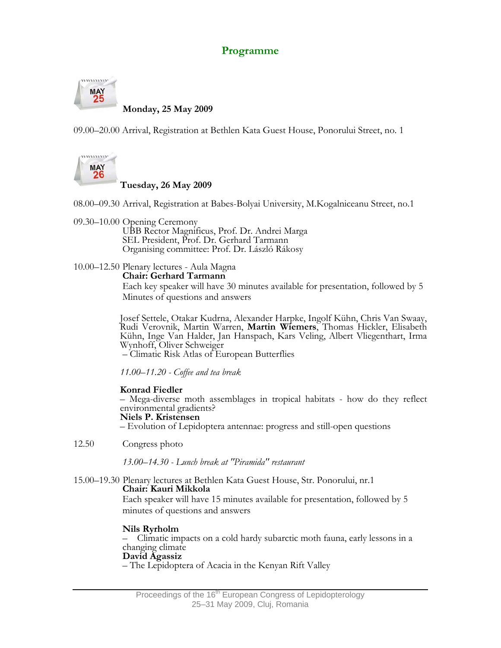# **Programme**



 **Monday, 25 May 2009** 

09.00–20.00 Arrival, Registration at Bethlen Kata Guest House, Ponorului Street, no. 1



# **Tuesday, 26 May 2009**

08.00–09.30 Arrival, Registration at Babes-Bolyai University, M.Kogalniceanu Street, no.1

09.30–10.00 Opening Ceremony

 UBB Rector Magnificus, Prof. Dr. Andrei Marga SEL President, Prof. Dr. Gerhard Tarmann Organising committee: Prof. Dr. László Rákosy

# 10.00–12.50 Plenary lectures - Aula Magna

**Chair: Gerhard Tarmann** 

 Each key speaker will have 30 minutes available for presentation, followed by 5 Minutes of questions and answers

Josef Settele, Otakar Kudrna, Alexander Harpke, Ingolf Kühn, Chris Van Swaay, Rudi Verovnik, Martin Warren, **Martin Wiemers**, Thomas Hickler, Elisabeth Kühn, Inge Van Halder, Jan Hanspach, Kars Veling, Albert Vliegenthart, Irma Wynhoff, Oliver Schweiger

– Climatic Risk Atlas of European Butterflies

*11.00–11.20 - Coffee and tea break* 

**Konrad Fiedler** – Mega-diverse moth assemblages in tropical habitats - how do they reflect environmental gradients?

**Niels P. Kristensen** 

– Evolution of Lepidoptera antennae: progress and still-open questions

12.50 Congress photo

*13.00–14.30 - Lunch break at "Piramida" restaurant* 

#### 15.00–19.30 Plenary lectures at Bethlen Kata Guest House, Str. Ponorului, nr.1 **Chair: Kauri Mikkola**

 Each speaker will have 15 minutes available for presentation, followed by 5 minutes of questions and answers

**Nils Ryrholm**<br>
– Climatic impacts on a cold hardy subarctic moth fauna, early lessons in a changing climate

**David Agassiz**<br>- The Lepidoptera of Acacia in the Kenyan Rift Valley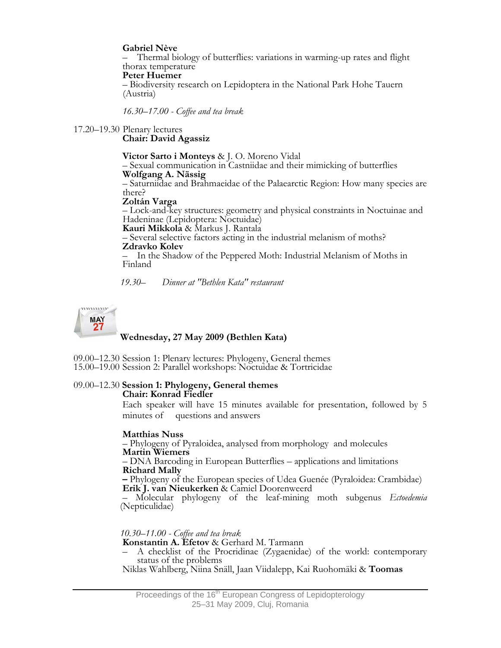**Gabriel Nève** – Thermal biology of butterflies: variations in warming-up rates and flight

**Peter Huemer**<br>- Biodiversity research on Lepidoptera in the National Park Hohe Tauern (Austria)

*16.30–17.00 - Coffee and tea break* 

17.20–19.30 Plenary lectures **Chair: David Agassiz** 

Victor Sarto i Monteys & J. O. Moreno Vidal<br>
- Sexual communication in Castniidae and their mimicking of butterflies<br>
Wolfgang A. Nässig<br>
- Saturniidae and Brahmaeidae of the Palaearctic Region: How many species are

there?

**Zoltán Varga** 

 – Lock-and-key structures: geometry and physical constraints in Noctuinae and Hadeninae (Lepidoptera: Noctuidae)

**Kauri Mikkola** & Markus J. Rantala – Several selective factors acting in the industrial melanism of moths? **Zdravko Kolev** 

– In the Shadow of the Peppered Moth: Industrial Melanism of Moths in Finland

*19.30– Dinner at "Bethlen Kata" restaurant* 



 **Wednesday, 27 May 2009 (Bethlen Kata)** 

09.00–12.30 Session 1: Plenary lectures: Phylogeny, General themes 15.00–19.00 Session 2: Parallel workshops: Noctuidae & Tortricidae

# 09.00–12.30 **Session 1: Phylogeny, General themes**

 **Chair: Konrad Fiedler** 

Each speaker will have 15 minutes available for presentation, followed by 5 minutes of questions and answers

**Matthias Nuss** – Phylogeny of Pyraloidea, analysed from morphology and molecules

**Martin Wiemers** – DNA Barcoding in European Butterflies – applications and limitations

**Richard Mally –** Phylogeny of the European species of Udea Guenée (Pyraloidea: Crambidae) **Erik J. van Nieukerken** & Camiel Doorenweerd

 – Molecular phylogeny of the leaf-mining moth subgenus *Ectoedemia* (Nepticulidae)

 *10.30–11.00 - Coffee and tea break* 

A checklist of the Procridinae (Zygaenidae) of the world: contemporary status of the problems

Niklas Wahlberg, Niina Snäll, Jaan Viidalepp, Kai Ruohomäki & **Toomas**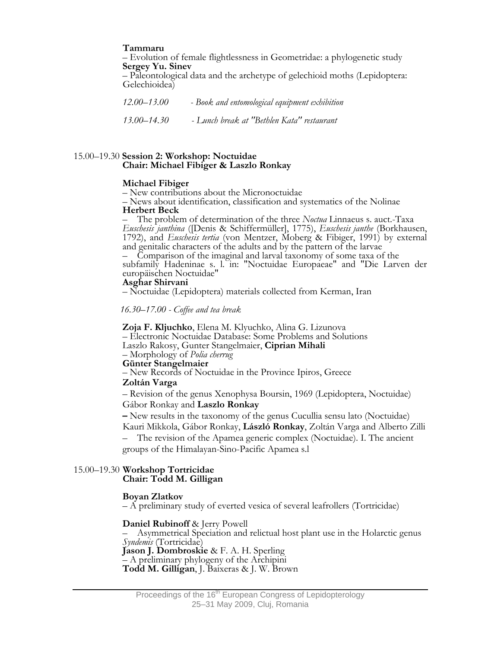**Tammaru** – Evolution of female flightlessness in Geometridae: a phylogenetic study

 **Sergey Yu. Sinev** – Paleontological data and the archetype of gelechioid moths (Lepidoptera: Gelechioidea)

 *12.00–13.00 - Book and entomological equipment exhibition 13.00–14.30 - Lunch break at "Bethlen Kata" restaurant* 

#### 15.00–19.30 **Session 2: Workshop: Noctuidae Chair: Michael Fibiger & Laszlo Ronkay**

#### **Michael Fibiger**

– New contributions about the Micronoctuidae

– News about identification, classification and systematics of the Nolinae **Herbert Beck**

– The problem of determination of the three *Noctua* Linnaeus s. auct.-Taxa *Euschesis janthina* ([Denis & Schiffermüller], 1775), *Euschesis janthe* (Borkhausen, 1792), and *Euschesis tertia* (von Mentzer, Moberg & Fibiger, 1991) by external and genitalic characters of the adults and by the pattern of the larvae

- Comparison of the imaginal and larval taxonomy of some taxa of the<br>subfamily Hadeninae s. l. in: "Noctuidae Europaeae" and "Die Larven der<br>europäischen Noctuidae"<br>**Asghar Shirvani**<br>- Noctuidae (Lepidoptera) materials col

 *16.30–17.00 - Coffee and tea break* 

 **Zoja F. Kljuchko**, Elena M. Klyuchko, Alina G. Lizunova – Electronic Noctuidae Database: Some Problems and Solutions Laszlo Rakosy, Gunter Stangelmaier, **Ciprian Mihali**

Günter Stangelmaier<br>
– New Records of Noctuidae in the Province Ipiros, Greece

#### **Zoltán Varga**

 – Revision of the genus Xenophysa Boursin, 1969 (Lepidoptera, Noctuidae) Gábor Ronkay and **Laszlo Ronkay** 

 **–** New results in the taxonomy of the genus Cucullia sensu lato (Noctuidae) Kauri Mikkola, Gábor Ronkay, **László Ronkay**, Zoltán Varga and Alberto Zilli

– The revision of the Apamea generic complex (Noctuidae). I. The ancient groups of the Himalayan-Sino-Pacific Apamea s.l

#### 15.00–19.30 **Workshop Tortricidae Chair: Todd M. Gilligan**

#### **Boyan Zlatkov**

– A preliminary study of everted vesica of several leafrollers (Tortricidae)

**Daniel Rubinoff** & Jerry Powell<br>
– Asymmetrical Speciation and relictual host plant use in the Holarctic genus *Syndemis* (Tortricidae) **Jason J. Dombroskie** & F. A. H. Sperling – A preliminary phylogeny of the Archipini **Todd M. Gilligan**, J. Baixeras & J. W. Brown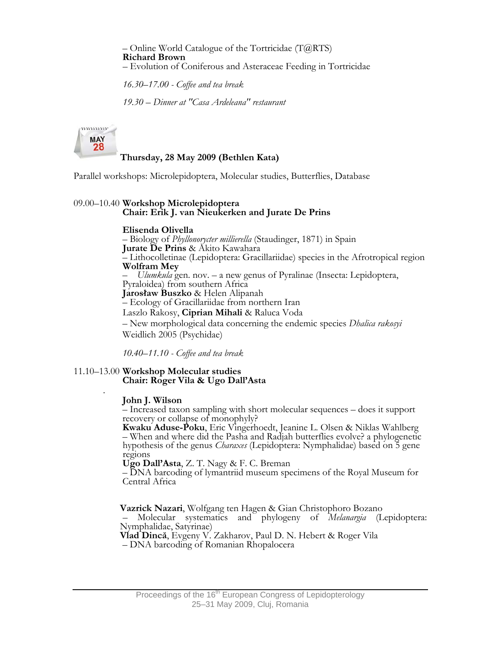– Online World Catalogue of the Tortricidae  $(T@RTS)$  **Richard Brown** – Evolution of Coniferous and Asteraceae Feeding in Tortricidae

*16.30–17.00 - Coffee and tea break*

 *19.30 – Dinner at "Casa Ardeleana" restaurant* 

 $111111111111$ **MAY** 28

# **Thursday, 28 May 2009 (Bethlen Kata)**

Parallel workshops: Microlepidoptera, Molecular studies, Butterflies, Database

# 09.00–10.40 **Workshop Microlepidoptera Chair: Erik J. van Nieukerken and Jurate De Prins**

# **Elisenda Olivella**

 – Biology of *Phyllonorycter millierella* (Staudinger, 1871) in Spain  **Jurate De Prins** & Akito Kawahara – Lithocolletinae (Lepidoptera: Gracillariidae) species in the Afrotropical region **Wolfram Mey**  – *Ulumkula* gen. nov. – a new genus of Pyralinae (Insecta: Lepidoptera, Jarosław Buszko & Helen Alipanah – Ecology of Gracillariidae from northern Iran Laszlo Rakosy, **Ciprian Mihali** & Raluca Voda – New morphological data concerning the endemic species *Dhalica rakosyi* Weidlich 2005 (Psychidae)

 *10.40–11.10 - Coffee and tea break* 

# 11.10–13.00 **Workshop Molecular studies Chair: Roger Vila & Ugo Dall'Asta**

### . **John J. Wilson**

– Increased taxon sampling with short molecular sequences – does it support

Kwaku Aduse-Poku, Eric Vingerhoedt, Jeanine L. Olsen & Niklas Wahlberg – When and where did the Pasha and Radjah butterflies evolve? a phylogenetic hypothesis of the genus *Charaxes* (Lepidoptera: Nymphalidae) based on 5 gene regions<br>Ugo Dall'Asta, Z. T. Nagy & F. C. Breman

**– DNA barcoding of lymantriid museum specimens of the Royal Museum for** Central Africa

**Vazrick Nazari**, Wolfgang ten Hagen & Gian Christophoro Bozano

 – Molecular systematics and phylogeny of *Melanargia* (Lepidoptera: Nymphalidae, Satyrinae)

**Vlad Dincă**, Evgeny V. Zakharov, Paul D. N. Hebert & Roger Vila

– DNA barcoding of Romanian Rhopalocera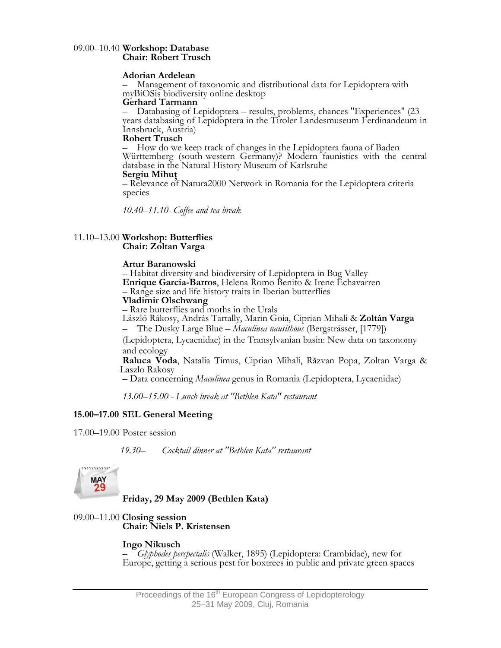# 09.00–10.40 **Workshop: Database Chair: Robert Trusch**

#### **Adorian Ardelean**

– Management of taxonomic and distributional data for Lepidoptera with myBiOSis biodiversity online desktop **Gerhard Tarmann**

– Databasing of Lepidoptera – results, problems, chances "Experiences" (23 years databasing of Lepidoptera in the Tiroler Landesmuseum Ferdinandeum in Innsbruck, Austria)<br> **Robert Trusch**<br>  $-$  How do we keep track of changes in the Lepidoptera fauna of Baden

Württemberg (south-western Germany)? Modern faunistics with the central database in the Natural History Museum of Karlsruhe

**Sergiu Mihut**<br>– Relevance of Natura2000 Network in Romania for the Lepidoptera criteria species

 *10.40–11.10- Coffee and tea break* 

# 11.10–13.00 **Workshop: Butterflies Chair: Zoltan Varga**

### **Artur Baranowski**

 – Habitat diversity and biodiversity of Lepidoptera in Bug Valley **Enrique Garcia-Barros**, Helena Romo Benito & Irene Echavarren – Range size and life history traits in Iberian butterflies **Vladimir Olschwang**

– Rare butterflies and moths in the Urals

László Rákosy, András Tartally, Marin Goia, Ciprian Mihali & **Zoltán Varga**

– The Dusky Large Blue – *Maculinea nausithous* (Bergsträsser, [1779])

(Lepidoptera, Lycaenidae) in the Transylvanian basin: New data on taxonomy and ecology

 **Raluca Voda**, Natalia Timus, Ciprian Mihali, Răzvan Popa, Zoltan Varga & Laszlo Rakosy

– Data concerning *Maculinea* genus in Romania (Lepidoptera, Lycaenidae)

 *13.00–15.00 - Lunch break at "Bethlen Kata" restaurant* 

# **15.00–17.00 SEL General Meeting**

17.00–19.00 Poster session

 *19.30– Cocktail dinner at "Bethlen Kata" restaurant*



 **Friday, 29 May 2009 (Bethlen Kata)** 

# 09.00–11.00 **Closing session Chair: Niels P. Kristensen**

 **Ingo Nikusch** – *Glyphodes perspectalis* (Walker, 1895) (Lepidoptera: Crambidae), new for Europe, getting a serious pest for boxtrees in public and private green spaces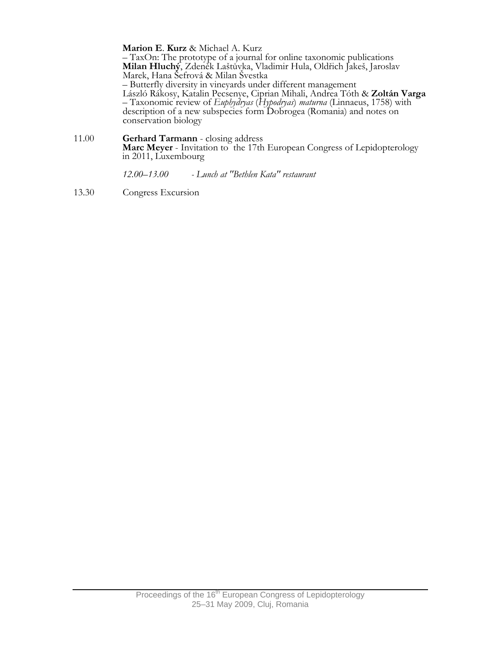**Marion E. Kurz** & Michael A. Kurz<br>- TaxOn: The prototype of a journal for online taxonomic publications  **Milan Hluchý**, Zdeněk Laštůvka, Vladimir Hula, Oldřich Jakeš, Jaroslav Marek, Hana Šefrová & Milan Švestka

– Butterfly diversity in vineyards under different management

László Rákosy, Katalin Pecsenye, Ciprian Mihali, Andrea Tóth & **Zoltán Varga** – Taxonomic review of *Euphydryas* (*Hypodryas*) *maturna* (Linnaeus, 1758) with description of a new subspecies form Dobrogea (Romania) and notes on conservation biology

11.00 **Gerhard Tarmann** - closing address **Marc Meyer** - Invitation to the 17th European Congress of Lepidopterology in 2011, Luxembourg

 *12.00–13.00 - Lunch at "Bethlen Kata" restaurant* 

13.30 Congress Excursion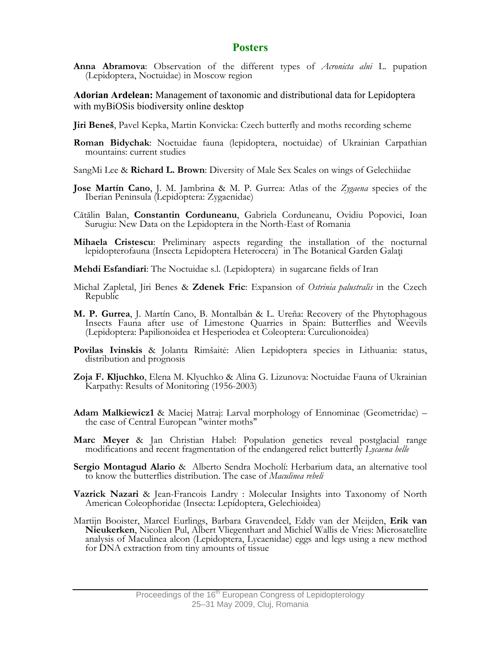# **Posters**

**Anna Abramova**: Observation of the different types of *Acronicta alni* L. pupation (Lepidoptera, Noctuidae) in Moscow region

**Adorian Ardelean:** Management of taxonomic and distributional data for Lepidoptera with myBiOSis biodiversity online desktop

- **Jiri Beneš**, Pavel Kepka, Martin Konvicka: Czech butterfly and moths recording scheme
- **Roman Bidychak**: Noctuidae fauna (lepidoptera, noctuidae) of Ukrainian Carpathian mountains: current studies
- SangMi Lee & **Richard L. Brown**: Diversity of Male Sex Scales on wings of Gelechiidae
- **Jose Martín Cano**, J. M. Jambrina & M. P. Gurrea: Atlas of the *Zygaena* species of the Iberian Peninsula (Lepidoptera: Zygaenidae)
- Cătălin Balan, **Constantin Corduneanu**, Gabriela Corduneanu, Ovidiu Popovici, Ioan Surugiu: New Data on the Lepidoptera in the North-East of Romania
- **Mihaela Cristescu**: Preliminary aspects regarding the installation of the nocturnal lepidopterofauna (Insecta Lepidoptera Heterocera) in The Botanical Garden Galaţi
- **Mehdi Esfandiari**: The Noctuidae s.l. (Lepidoptera) in sugarcane fields of Iran
- Michal Zapletal, Jiri Benes & **Zdenek Fric**: Expansion of *Ostrinia palustralis* in the Czech Republic
- **M. P. Gurrea**, J. Martín Cano, B. Montalbán & L. Ureña: Recovery of the Phytophagous Insects Fauna after use of Limestone Quarries in Spain: Butterflies and Weevils (Lepidoptera: Papilionoidea et Hesperiodea et Coleoptera: Curculionoidea)
- **Povilas Ivinskis** & Jolanta Rimšaitė: Alien Lepidoptera species in Lithuania: status, distribution and prognosis
- **Zoja F. Kljuchko**, Elena M. Klyuchko & Alina G. Lizunova: Noctuidae Fauna of Ukrainian Karpathy: Results of Monitoring (1956-2003)
- **Adam Malkiewicz1** & Maciej Matraj: Larval morphology of Ennominae (Geometridae) the case of Central European "winter moths"
- **Marc Meyer** & Jan Christian Habel: Population genetics reveal postglacial range modifications and recent fragmentation of the endangered relict butterfly *Lycaena helle*
- **Sergio Montagud Alario** & Alberto Sendra Mocholí: Herbarium data, an alternative tool to know the butterflies distribution. The case of *Maculinea rebeli*
- **Vazrick Nazari** & Jean-Francois Landry : Molecular Insights into Taxonomy of North American Coleophoridae (Insecta: Lepidoptera, Gelechioidea)
- Martijn Booister, Marcel Eurlings, Barbara Gravendeel, Eddy van der Meijden, **Erik van Nieukerken**, Nicolien Pul, Albert Vliegenthart and Michiel Wallis de Vries: Microsatellite analysis of Maculinea alcon (Lepidoptera, Lycaenidae) eggs and legs using a new method for DNA extraction from tiny amounts of tissue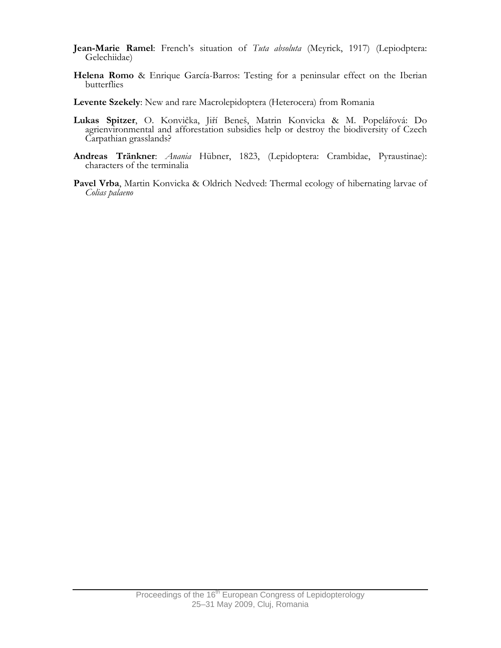- **Jean-Marie Ramel**: French's situation of *Tuta absoluta* (Meyrick, 1917) (Lepiodptera: Gelechiidae)
- **Helena Romo** & Enrique García-Barros: Testing for a peninsular effect on the Iberian butterflies
- **Levente Szekely**: New and rare Macrolepidoptera (Heterocera) from Romania
- **Lukas Spitzer**, O. Konvička, Jiří Beneš, Matrin Konvicka & M. Popelářová: Do agrienvironmental and afforestation subsidies help or destroy the biodiversity of Czech Carpathian grasslands?
- **Andreas Tränkner**: *Anania* Hübner, 1823, (Lepidoptera: Crambidae, Pyraustinae): characters of the terminalia
- **Pavel Vrba**, Martin Konvicka & Oldrich Nedved: Thermal ecology of hibernating larvae of *Colias palaeno*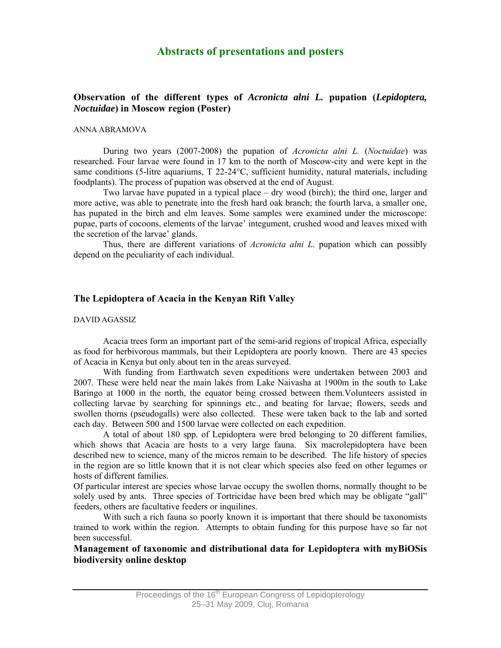# **Abstracts of presentations and posters**

# **Observation of the different types of** *Acronicta alni L.* **pupation (***Lepidoptera, Noctuidae***) in Moscow region (Poster)**

#### ANNA ABRAMOVA

During two years (2007-2008) the pupation of *Acronicta alni L.* (*Noctuidae*) was researched. Four larvae were found in 17 km to the north of Moscow-city and were kept in the same conditions (5-litre aquariums, T 22-24°C, sufficient humidity, natural materials, including foodplants). The process of pupation was observed at the end of August.

Two larvae have pupated in a typical place – dry wood (birch); the third one, larger and more active, was able to penetrate into the fresh hard oak branch; the fourth larva, a smaller one, has pupated in the birch and elm leaves. Some samples were examined under the microscope: pupae, parts of cocoons, elements of the larvae' integument, crushed wood and leaves mixed with the secretion of the larvae' glands.

Thus, there are different variations of *Acronicta alni L*. pupation which can possibly depend on the peculiarity of each individual.

## **The Lepidoptera of Acacia in the Kenyan Rift Valley**

#### DAVID AGASSIZ

Acacia trees form an important part of the semi-arid regions of tropical Africa, especially as food for herbivorous mammals, but their Lepidoptera are poorly known. There are 43 species of Acacia in Kenya but only about ten in the areas surveyed.

With funding from Earthwatch seven expeditions were undertaken between 2003 and 2007. These were held near the main lakes from Lake Naivasha at 1900m in the south to Lake Baringo at 1000 in the north, the equator being crossed between them.Volunteers assisted in collecting larvae by searching for spinnings etc., and beating for larvae; flowers, seeds and swollen thorns (pseudogalls) were also collected. These were taken back to the lab and sorted each day. Between 500 and 1500 larvae were collected on each expedition.

A total of about 180 spp. of Lepidoptera were bred belonging to 20 different families, which shows that Acacia are hosts to a very large fauna. Six macrolepidoptera have been described new to science, many of the micros remain to be described. The life history of species in the region are so little known that it is not clear which species also feed on other legumes or hosts of different families.

Of particular interest are species whose larvae occupy the swollen thorns, normally thought to be solely used by ants. Three species of Tortricidae have been bred which may be obligate "gall" feeders, others are facultative feeders or inquilines.

With such a rich fauna so poorly known it is important that there should be taxonomists trained to work within the region. Attempts to obtain funding for this purpose have so far not been successful.

**Management of taxonomic and distributional data for Lepidoptera with myBiOSis biodiversity online desktop**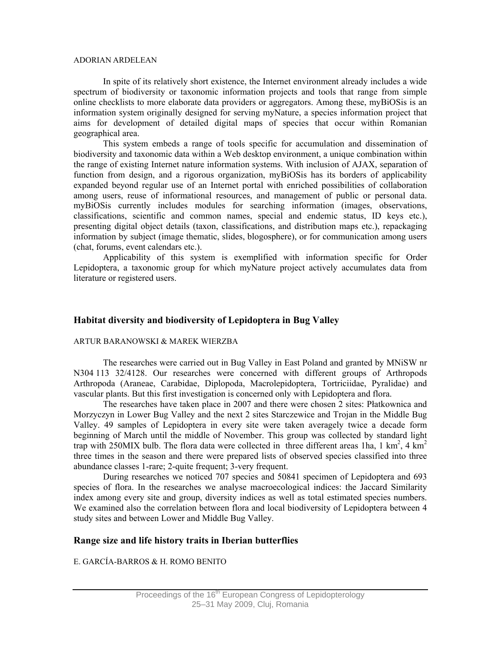#### ADORIAN ARDELEAN

In spite of its relatively short existence, the Internet environment already includes a wide spectrum of biodiversity or taxonomic information projects and tools that range from simple online checklists to more elaborate data providers or aggregators. Among these, myBiOSis is an information system originally designed for serving myNature, a species information project that aims for development of detailed digital maps of species that occur within Romanian geographical area.

This system embeds a range of tools specific for accumulation and dissemination of biodiversity and taxonomic data within a Web desktop environment, a unique combination within the range of existing Internet nature information systems. With inclusion of AJAX, separation of function from design, and a rigorous organization, myBiOSis has its borders of applicability expanded beyond regular use of an Internet portal with enriched possibilities of collaboration among users, reuse of informational resources, and management of public or personal data. myBiOSis currently includes modules for searching information (images, observations, classifications, scientific and common names, special and endemic status, ID keys etc.), presenting digital object details (taxon, classifications, and distribution maps etc.), repackaging information by subject (image thematic, slides, blogosphere), or for communication among users (chat, forums, event calendars etc.).

Applicability of this system is exemplified with information specific for Order Lepidoptera, a taxonomic group for which myNature project actively accumulates data from literature or registered users.

# **Habitat diversity and biodiversity of Lepidoptera in Bug Valley**

#### ARTUR BARANOWSKI & MAREK WIERZBA

The researches were carried out in Bug Valley in East Poland and granted by MNiSW nr N304 113 32/4128. Our researches were concerned with different groups of Arthropods Arthropoda (Araneae, Carabidae, Diplopoda, Macrolepidoptera, Tortriciidae, Pyralidae) and vascular plants. But this first investigation is concerned only with Lepidoptera and flora.

The researches have taken place in 2007 and there were chosen 2 sites: Płatkownica and Morzyczyn in Lower Bug Valley and the next 2 sites Starczewice and Trojan in the Middle Bug Valley. 49 samples of Lepidoptera in every site were taken averagely twice a decade form beginning of March until the middle of November. This group was collected by standard light trap with 250MIX bulb. The flora data were collected in three different areas 1ha, 1 km<sup>2</sup>, 4 km<sup>2</sup> three times in the season and there were prepared lists of observed species classified into three abundance classes 1-rare; 2-quite frequent; 3-very frequent.

During researches we noticed 707 species and 50841 specimen of Lepidoptera and 693 species of flora. In the researches we analyse macroecological indices: the Jaccard Similarity index among every site and group, diversity indices as well as total estimated species numbers. We examined also the correlation between flora and local biodiversity of Lepidoptera between 4 study sites and between Lower and Middle Bug Valley.

### **Range size and life history traits in Iberian butterflies**

E. GARCÍA-BARROS & H. ROMO BENITO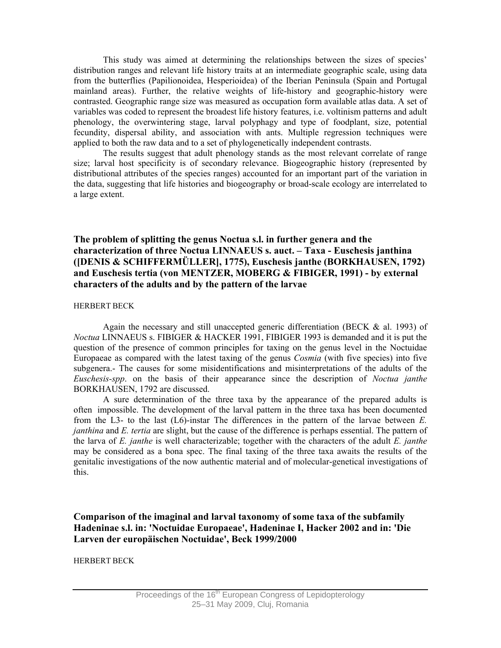This study was aimed at determining the relationships between the sizes of species' distribution ranges and relevant life history traits at an intermediate geographic scale, using data from the butterflies (Papilionoidea, Hesperioidea) of the Iberian Peninsula (Spain and Portugal mainland areas). Further, the relative weights of life-history and geographic-history were contrasted. Geographic range size was measured as occupation form available atlas data. A set of variables was coded to represent the broadest life history features, i.e. voltinism patterns and adult phenology, the overwintering stage, larval polyphagy and type of foodplant, size, potential fecundity, dispersal ability, and association with ants. Multiple regression techniques were applied to both the raw data and to a set of phylogenetically independent contrasts.

The results suggest that adult phenology stands as the most relevant correlate of range size; larval host specificity is of secondary relevance. Biogeographic history (represented by distributional attributes of the species ranges) accounted for an important part of the variation in the data, suggesting that life histories and biogeography or broad-scale ecology are interrelated to a large extent.

# **The problem of splitting the genus Noctua s.l. in further genera and the characterization of three Noctua LINNAEUS s. auct. – Taxa - Euschesis janthina ([DENIS & SCHIFFERMÜLLER], 1775), Euschesis janthe (BORKHAUSEN, 1792) and Euschesis tertia (von MENTZER, MOBERG & FIBIGER, 1991) - by external characters of the adults and by the pattern of the larvae**

### HERBERT BECK

Again the necessary and still unaccepted generic differentiation (BECK & al. 1993) of *Noctua* LINNAEUS s. FIBIGER & HACKER 1991, FIBIGER 1993 is demanded and it is put the question of the presence of common principles for taxing on the genus level in the Noctuidae Europaeae as compared with the latest taxing of the genus *Cosmia* (with five species) into five subgenera.- The causes for some misidentifications and misinterpretations of the adults of the *Euschesis-spp*. on the basis of their appearance since the description of *Noctua janthe* BORKHAUSEN, 1792 are discussed.

A sure determination of the three taxa by the appearance of the prepared adults is often impossible. The development of the larval pattern in the three taxa has been documented from the L3- to the last (L6)-instar The differences in the pattern of the larvae between *E. janthina* and *E. tertia* are slight, but the cause of the difference is perhaps essential. The pattern of the larva of *E. janthe* is well characterizable; together with the characters of the adult *E. janthe* may be considered as a bona spec. The final taxing of the three taxa awaits the results of the genitalic investigations of the now authentic material and of molecular-genetical investigations of this.

**Comparison of the imaginal and larval taxonomy of some taxa of the subfamily Hadeninae s.l. in: 'Noctuidae Europaeae', Hadeninae I, Hacker 2002 and in: 'Die Larven der europäischen Noctuidae', Beck 1999/2000** 

### HERBERT BECK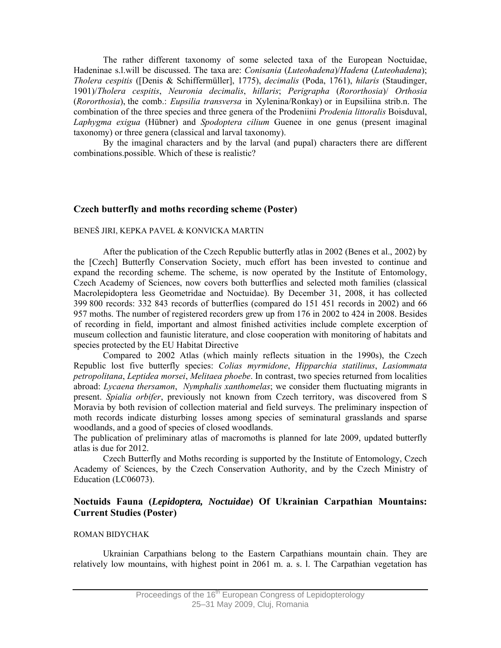The rather different taxonomy of some selected taxa of the European Noctuidae, Hadeninae s.l.will be discussed. The taxa are: *Conisania* (*Luteohadena*)/*Hadena* (*Luteohadena*); *Tholera cespitis* ([Denis & Schiffermüller], 1775), *decimalis* (Poda, 1761), *hilaris* (Staudinger, 1901)/*Tholera cespitis*, *Neuronia decimalis*, *hillaris*; *Perigrapha* (*Rororthosia*)/ *Orthosia* (*Rororthosia*), the comb.: *Eupsilia transversa* in Xylenina/Ronkay) or in Eupsiliina strib.n. The combination of the three species and three genera of the Prodeniini *Prodenia littoralis* Boisduval, *Laphygma exigua* (Hübner) and *Spodoptera cilium* Guenee in one genus (present imaginal taxonomy) or three genera (classical and larval taxonomy).

By the imaginal characters and by the larval (and pupal) characters there are different combinations.possible. Which of these is realistic?

### **Czech butterfly and moths recording scheme (Poster)**

#### BENEŠ JIRI, KEPKA PAVEL & KONVICKA MARTIN

After the publication of the Czech Republic butterfly atlas in 2002 (Benes et al., 2002) by the [Czech] Butterfly Conservation Society, much effort has been invested to continue and expand the recording scheme. The scheme, is now operated by the Institute of Entomology, Czech Academy of Sciences, now covers both butterflies and selected moth families (classical Macrolepidoptera less Geometridae and Noctuidae). By December 31, 2008, it has collected 399 800 records: 332 843 records of butterflies (compared do 151 451 records in 2002) and 66 957 moths. The number of registered recorders grew up from 176 in 2002 to 424 in 2008. Besides of recording in field, important and almost finished activities include complete excerption of museum collection and faunistic literature, and close cooperation with monitoring of habitats and species protected by the EU Habitat Directive

Compared to 2002 Atlas (which mainly reflects situation in the 1990s), the Czech Republic lost five butterfly species: *Colias myrmidone*, *Hipparchia statilinus*, *Lasiommata petropolitana*, *Leptidea morsei*, *Melitaea phoebe*. In contrast, two species returned from localities abroad: *Lycaena thersamon*, *Nymphalis xanthomelas*; we consider them fluctuating migrants in present. *Spialia orbifer*, previously not known from Czech territory, was discovered from S Moravia by both revision of collection material and field surveys. The preliminary inspection of moth records indicate disturbing losses among species of seminatural grasslands and sparse woodlands, and a good of species of closed woodlands.

The publication of preliminary atlas of macromoths is planned for late 2009, updated butterfly atlas is due for 2012.

Czech Butterfly and Moths recording is supported by the Institute of Entomology, Czech Academy of Sciences, by the Czech Conservation Authority, and by the Czech Ministry of Education (LC06073).

# **Noctuids Fauna (***Lepidoptera, Noctuidae***) Of Ukrainian Carpathian Mountains: Current Studies (Poster)**

#### ROMAN BIDYCHAK

Ukrainian Carpathians belong to the Eastern Carpathians mountain chain. They are relatively low mountains, with highest point in 2061 m. a. s. l. The Carpathian vegetation has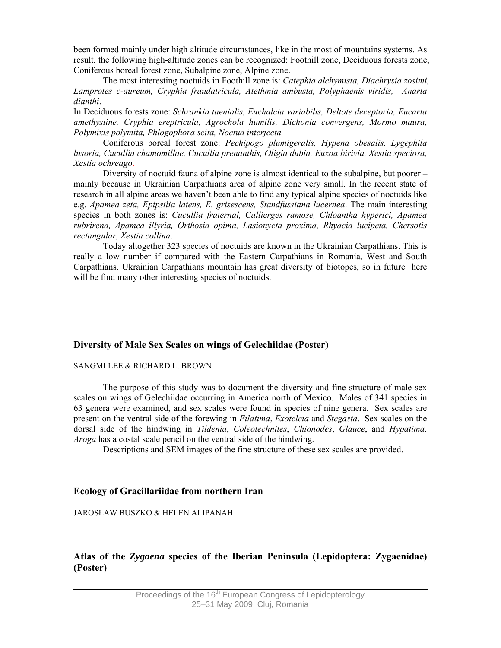been formed mainly under high altitude circumstances, like in the most of mountains systems. As result, the following high-altitude zones can be recognized: Foothill zone, Deciduous forests zone, Coniferous boreal forest zone, Subalpine zone, Alpine zone.

The most interesting noctuids in Foothill zone is: *Catephia alchymista, Diachrysia zosimi, Lamprotes c-aureum, Cryphia fraudatricula, Atethmia ambusta, Polyphaenis viridis, Anarta dianthi*.

In Deciduous forests zone: *Schrankia taenialis, Euchalcia variabilis, Deltote deceptoria, Eucarta amethystine, Cryphia ereptricula, Agrochola humilis, Dichonia convergens, Mormo maura, Polymixis polymita, Phlogophora scita, Noctua interjecta.*

Coniferous boreal forest zone: *Pechipogo plumigeralis, Hypena obesalis, Lygephila lusoria, Cucullia chamomillae, Cucullia prenanthis, Oligia dubia, Euxoa birivia, Xestia speciosa, Xestia ochreago*.

Diversity of noctuid fauna of alpine zone is almost identical to the subalpine, but poorer – mainly because in Ukrainian Carpathians area of alpine zone very small. In the recent state of research in all alpine areas we haven't been able to find any typical alpine species of noctuids like e.g. *Apamea zeta, Epipsilia latens, E. grisescens, Standfussiana lucernea*. The main interesting species in both zones is: *Cucullia fraternal, Callierges ramose, Chloantha hyperici, Apamea rubrirena, Apamea illyria, Orthosia opima, Lasionycta proxima, Rhyacia lucipeta, Chersotis rectangular, Xestia collina*.

Today altogether 323 species of noctuids are known in the Ukrainian Carpathians. This is really a low number if compared with the Eastern Carpathians in Romania, West and South Carpathians. Ukrainian Carpathians mountain has great diversity of biotopes, so in future here will be find many other interesting species of noctuids.

### **Diversity of Male Sex Scales on wings of Gelechiidae (Poster)**

#### SANGMI LEE & RICHARD L. BROWN

The purpose of this study was to document the diversity and fine structure of male sex scales on wings of Gelechiidae occurring in America north of Mexico. Males of 341 species in 63 genera were examined, and sex scales were found in species of nine genera. Sex scales are present on the ventral side of the forewing in *Filatima*, *Exoteleia* and *Stegasta*. Sex scales on the dorsal side of the hindwing in *Tildenia*, *Coleotechnites*, *Chionodes*, *Glauce*, and *Hypatima*. *Aroga* has a costal scale pencil on the ventral side of the hindwing.

Descriptions and SEM images of the fine structure of these sex scales are provided.

### **Ecology of Gracillariidae from northern Iran**

### JAROSŁAW BUSZKO & HELEN ALIPANAH

# **Atlas of the** *Zygaena* **species of the Iberian Peninsula (Lepidoptera: Zygaenidae) (Poster)**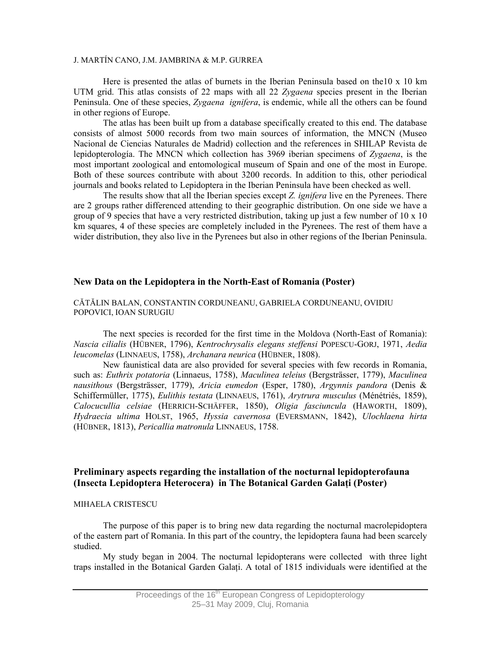#### J. MARTÍN CANO, J.M. JAMBRINA & M.P. GURREA

Here is presented the atlas of burnets in the Iberian Peninsula based on the10 x 10 km UTM grid. This atlas consists of 22 maps with all 22 *Zygaena* species present in the Iberian Peninsula. One of these species, *Zygaena ignifera*, is endemic, while all the others can be found in other regions of Europe.

The atlas has been built up from a database specifically created to this end. The database consists of almost 5000 records from two main sources of information, the MNCN (Museo Nacional de Ciencias Naturales de Madrid) collection and the references in SHILAP Revista de lepidopterología. The MNCN which collection has 3969 iberian specimens of *Zygaena*, is the most important zoological and entomological museum of Spain and one of the most in Europe. Both of these sources contribute with about 3200 records. In addition to this, other periodical journals and books related to Lepidoptera in the Iberian Peninsula have been checked as well.

The results show that all the Iberian species except *Z. ignifera* live en the Pyrenees. There are 2 groups rather differenced attending to their geographic distribution. On one side we have a group of 9 species that have a very restricted distribution, taking up just a few number of 10 x 10 km squares, 4 of these species are completely included in the Pyrenees. The rest of them have a wider distribution, they also live in the Pyrenees but also in other regions of the Iberian Peninsula.

#### **New Data on the Lepidoptera in the North-East of Romania (Poster)**

#### CĂTĂLIN BALAN, CONSTANTIN CORDUNEANU, GABRIELA CORDUNEANU, OVIDIU POPOVICI, IOAN SURUGIU

The next species is recorded for the first time in the Moldova (North-East of Romania): *Nascia cilialis* (HÜBNER, 1796), *Kentrochrysalis elegans steffensi* POPESCU-GORJ, 1971, *Aedia leucomelas* (LINNAEUS, 1758), *Archanara neurica* (HÜBNER, 1808).

New faunistical data are also provided for several species with few records in Romania, such as: *Euthrix potatoria* (Linnaeus, 1758), *Maculinea teleius* (Bergsträsser, 1779), *Maculinea nausithous* (Bergsträsser, 1779), *Aricia eumedon* (Esper, 1780), *Argynnis pandora* (Denis & Schiffermüller, 1775), *Eulithis testata* (LINNAEUS, 1761), *Arytrura musculus* (Ménétriés, 1859), *Calocucullia celsiae* (HERRICH-SCHÄFFER, 1850), *Oligia fasciuncula* (HAWORTH, 1809), *Hydraecia ultima* HOLST, 1965, *Hyssia cavernosa* (EVERSMANN, 1842), *Ulochlaena hirta* (HÜBNER, 1813), *Pericallia matronula* LINNAEUS, 1758.

# **Preliminary aspects regarding the installation of the nocturnal lepidopterofauna (Insecta Lepidoptera Heterocera) in The Botanical Garden Galaţi (Poster)**

#### MIHAELA CRISTESCU

The purpose of this paper is to bring new data regarding the nocturnal macrolepidoptera of the eastern part of Romania. In this part of the country, the lepidoptera fauna had been scarcely studied.

My study began in 2004. The nocturnal lepidopterans were collected with three light traps installed in the Botanical Garden Galaţi. A total of 1815 individuals were identified at the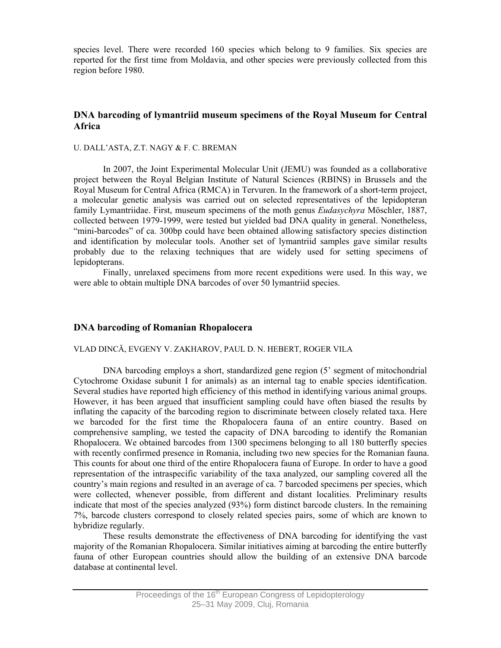species level. There were recorded 160 species which belong to 9 families. Six species are reported for the first time from Moldavia, and other species were previously collected from this region before 1980.

# **DNA barcoding of lymantriid museum specimens of the Royal Museum for Central Africa**

#### U. DALL'ASTA, Z.T. NAGY & F. C. BREMAN

In 2007, the Joint Experimental Molecular Unit (JEMU) was founded as a collaborative project between the Royal Belgian Institute of Natural Sciences (RBINS) in Brussels and the Royal Museum for Central Africa (RMCA) in Tervuren. In the framework of a short-term project, a molecular genetic analysis was carried out on selected representatives of the lepidopteran family Lymantriidae. First, museum specimens of the moth genus *Eudasychyra* Möschler, 1887, collected between 1979-1999, were tested but yielded bad DNA quality in general. Nonetheless, "mini-barcodes" of ca. 300bp could have been obtained allowing satisfactory species distinction and identification by molecular tools. Another set of lymantriid samples gave similar results probably due to the relaxing techniques that are widely used for setting specimens of lepidopterans.

Finally, unrelaxed specimens from more recent expeditions were used. In this way, we were able to obtain multiple DNA barcodes of over 50 lymantriid species.

# **DNA barcoding of Romanian Rhopalocera**

#### VLAD DINCĂ, EVGENY V. ZAKHAROV, PAUL D. N. HEBERT, ROGER VILA

DNA barcoding employs a short, standardized gene region (5' segment of mitochondrial Cytochrome Oxidase subunit I for animals) as an internal tag to enable species identification. Several studies have reported high efficiency of this method in identifying various animal groups. However, it has been argued that insufficient sampling could have often biased the results by inflating the capacity of the barcoding region to discriminate between closely related taxa. Here we barcoded for the first time the Rhopalocera fauna of an entire country. Based on comprehensive sampling, we tested the capacity of DNA barcoding to identify the Romanian Rhopalocera. We obtained barcodes from 1300 specimens belonging to all 180 butterfly species with recently confirmed presence in Romania, including two new species for the Romanian fauna. This counts for about one third of the entire Rhopalocera fauna of Europe. In order to have a good representation of the intraspecific variability of the taxa analyzed, our sampling covered all the country's main regions and resulted in an average of ca. 7 barcoded specimens per species, which were collected, whenever possible, from different and distant localities. Preliminary results indicate that most of the species analyzed (93%) form distinct barcode clusters. In the remaining 7%, barcode clusters correspond to closely related species pairs, some of which are known to hybridize regularly.

These results demonstrate the effectiveness of DNA barcoding for identifying the vast majority of the Romanian Rhopalocera. Similar initiatives aiming at barcoding the entire butterfly fauna of other European countries should allow the building of an extensive DNA barcode database at continental level.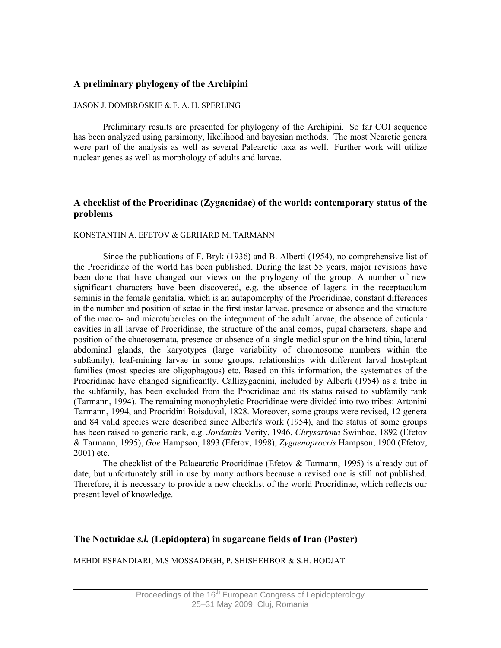# **A preliminary phylogeny of the Archipini**

#### JASON J. DOMBROSKIE & F. A. H. SPERLING

Preliminary results are presented for phylogeny of the Archipini. So far COI sequence has been analyzed using parsimony, likelihood and bayesian methods. The most Nearctic genera were part of the analysis as well as several Palearctic taxa as well. Further work will utilize nuclear genes as well as morphology of adults and larvae.

# **A checklist of the Procridinae (Zygaenidae) of the world: contemporary status of the problems**

#### KONSTANTIN A. EFETOV & GERHARD M. TARMANN

Since the publications of F. Bryk (1936) and B. Alberti (1954), no comprehensive list of the Procridinae of the world has been published. During the last 55 years, major revisions have been done that have changed our views on the phylogeny of the group. A number of new significant characters have been discovered, e.g. the absence of lagena in the receptaculum seminis in the female genitalia, which is an autapomorphy of the Procridinae, constant differences in the number and position of setae in the first instar larvae, presence or absence and the structure of the macro- and microtubercles on the integument of the adult larvae, the absence of cuticular cavities in all larvae of Procridinae, the structure of the anal combs, pupal characters, shape and position of the chaetosemata, presence or absence of a single medial spur on the hind tibia, lateral abdominal glands, the karyotypes (large variability of chromosome numbers within the subfamily), leaf-mining larvae in some groups, relationships with different larval host-plant families (most species are oligophagous) etc. Based on this information, the systematics of the Procridinae have changed significantly. Callizygaenini, included by Alberti (1954) as a tribe in the subfamily, has been excluded from the Procridinae and its status raised to subfamily rank (Tarmann, 1994). The remaining monophyletic Procridinae were divided into two tribes: Artonini Tarmann, 1994, and Procridini Boisduval, 1828. Moreover, some groups were revised, 12 genera and 84 valid species were described since Alberti's work (1954), and the status of some groups has been raised to generic rank, e.g. *Jordanita* Verity, 1946, *Chrysartona* Swinhoe, 1892 (Efetov & Tarmann, 1995), *Goe* Hampson, 1893 (Efetov, 1998), *Zygaenoprocris* Hampson, 1900 (Efetov, 2001) etc.

The checklist of the Palaearctic Procridinae (Efetov & Tarmann, 1995) is already out of date, but unfortunately still in use by many authors because a revised one is still not published. Therefore, it is necessary to provide a new checklist of the world Procridinae, which reflects our present level of knowledge.

# **The Noctuidae** *s.l.* **(Lepidoptera) in sugarcane fields of Iran (Poster)**

MEHDI ESFANDIARI, M.S MOSSADEGH, P. SHISHEHBOR & S.H. HODJAT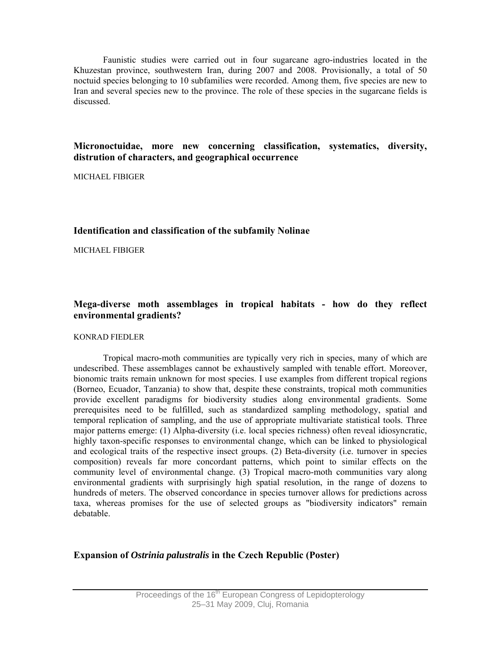Faunistic studies were carried out in four sugarcane agro-industries located in the Khuzestan province, southwestern Iran, during 2007 and 2008. Provisionally, a total of 50 noctuid species belonging to 10 subfamilies were recorded. Among them, five species are new to Iran and several species new to the province. The role of these species in the sugarcane fields is discussed.

# **Micronoctuidae, more new concerning classification, systematics, diversity, distrution of characters, and geographical occurrence**

MICHAEL FIBIGER

# **Identification and classification of the subfamily Nolinae**

MICHAEL FIBIGER

# **Mega-diverse moth assemblages in tropical habitats - how do they reflect environmental gradients?**

#### KONRAD FIEDLER

Tropical macro-moth communities are typically very rich in species, many of which are undescribed. These assemblages cannot be exhaustively sampled with tenable effort. Moreover, bionomic traits remain unknown for most species. I use examples from different tropical regions (Borneo, Ecuador, Tanzania) to show that, despite these constraints, tropical moth communities provide excellent paradigms for biodiversity studies along environmental gradients. Some prerequisites need to be fulfilled, such as standardized sampling methodology, spatial and temporal replication of sampling, and the use of appropriate multivariate statistical tools. Three major patterns emerge: (1) Alpha-diversity (i.e. local species richness) often reveal idiosyncratic, highly taxon-specific responses to environmental change, which can be linked to physiological and ecological traits of the respective insect groups. (2) Beta-diversity (i.e. turnover in species composition) reveals far more concordant patterns, which point to similar effects on the community level of environmental change. (3) Tropical macro-moth communities vary along environmental gradients with surprisingly high spatial resolution, in the range of dozens to hundreds of meters. The observed concordance in species turnover allows for predictions across taxa, whereas promises for the use of selected groups as "biodiversity indicators" remain debatable.

# **Expansion of** *Ostrinia palustralis* **in the Czech Republic (Poster)**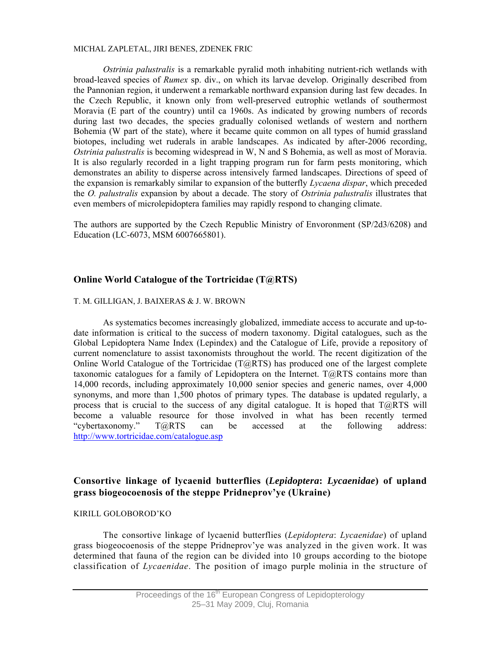#### MICHAL ZAPLETAL, JIRI BENES, ZDENEK FRIC

*Ostrinia palustralis* is a remarkable pyralid moth inhabiting nutrient-rich wetlands with broad-leaved species of *Rumex* sp. div., on which its larvae develop. Originally described from the Pannonian region, it underwent a remarkable northward expansion during last few decades. In the Czech Republic, it known only from well-preserved eutrophic wetlands of southermost Moravia (E part of the country) until ca 1960s. As indicated by growing numbers of records during last two decades, the species gradually colonised wetlands of western and northern Bohemia (W part of the state), where it became quite common on all types of humid grassland biotopes, including wet ruderals in arable landscapes. As indicated by after-2006 recording, *Ostrinia palustralis* is becoming widespread in W, N and S Bohemia, as well as most of Moravia. It is also regularly recorded in a light trapping program run for farm pests monitoring, which demonstrates an ability to disperse across intensively farmed landscapes. Directions of speed of the expansion is remarkably similar to expansion of the butterfly *Lycaena dispar*, which preceded the *O. palustralis* expansion by about a decade. The story of *Ostrinia palustralis* illustrates that even members of microlepidoptera families may rapidly respond to changing climate.

The authors are supported by the Czech Republic Ministry of Envoronment (SP/2d3/6208) and Education (LC-6073, MSM 6007665801).

# **Online World Catalogue of the Tortricidae (T@RTS)**

#### T. M. GILLIGAN, J. BAIXERAS & J. W. BROWN

As systematics becomes increasingly globalized, immediate access to accurate and up-todate information is critical to the success of modern taxonomy. Digital catalogues, such as the Global Lepidoptera Name Index (Lepindex) and the Catalogue of Life, provide a repository of current nomenclature to assist taxonomists throughout the world. The recent digitization of the Online World Catalogue of the Tortricidae (T@RTS) has produced one of the largest complete taxonomic catalogues for a family of Lepidoptera on the Internet.  $T@RTS$  contains more than 14,000 records, including approximately 10,000 senior species and generic names, over 4,000 synonyms, and more than 1,500 photos of primary types. The database is updated regularly, a process that is crucial to the success of any digital catalogue. It is hoped that  $T@RTS$  will become a valuable resource for those involved in what has been recently termed "cybertaxonomy." T@RTS can be accessed at the following address: http://www.tortricidae.com/catalogue.asp

# **Consortive linkage of lycaenid butterflies (***Lepidoptera***:** *Lycaenidae***) of upland grass biogeocoenosis of the steppe Pridneprov'ye (Ukraine)**

#### KIRILL GОLОBОRОD'KО

The consortive linkage of lycaenid butterflies (*Lepidoptera*: *Lycaenidae*) of upland grass biogeocoenosis of the steppe Pridneprov'ye was analyzed in the given work. It was determined that fauna of the region can be divided into 10 groups according to the biotope classification of *Lycaenidae*. The position of imago purple molinia in the structure of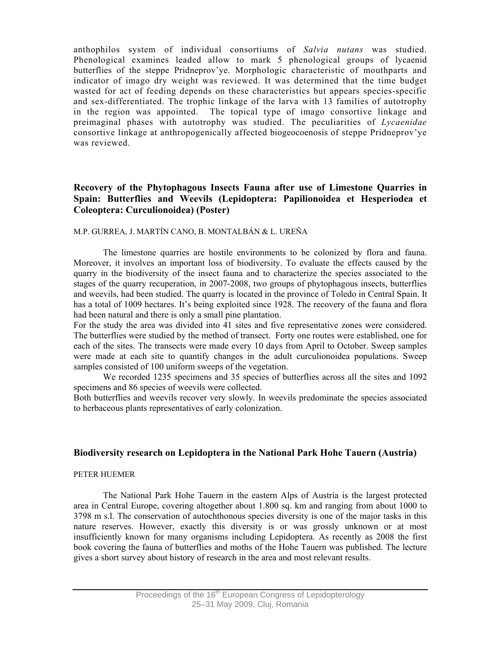anthophilos system of individual consortiums of *Salvia nutans* was studied. Phenological examines leaded allow to mark 5 phenological groups of lycaenid butterflies of the steppe Pridneprov'ye. Morphologic characteristic of mouthparts and indicator of imago dry weight was reviewed. It was determined that the time budget wasted for act of feeding depends on these characteristics but appears species-specific and sex-differentiated. The trophic linkage of the larva with 13 families of autotrophy in the region was appointed. The topical type of imago consortive linkage and preimaginal phases with autotrophy was studied. The peculiarities of *Lycaenidae* consortive linkage at anthropogenically affected biogeocoenosis of steppe Pridneprov'ye was reviewed.

# **Recovery of the Phytophagous Insects Fauna after use of Limestone Quarries in Spain: Butterflies and Weevils (Lepidoptera: Papilionoidea et Hesperiodea et Coleoptera: Curculionoidea) (Poster)**

### M.P. GURREA, J. MARTÍN CANO, B. MONTALBÁN & L. UREÑA

The limestone quarries are hostile environments to be colonized by flora and fauna. Moreover, it involves an important loss of biodiversity. To evaluate the effects caused by the quarry in the biodiversity of the insect fauna and to characterize the species associated to the stages of the quarry recuperation, in 2007-2008, two groups of phytophagous insects, butterflies and weevils, had been studied. The quarry is located in the province of Toledo in Central Spain. It has a total of 1009 hectares. It's being exploited since 1928. The recovery of the fauna and flora had been natural and there is only a small pine plantation.

For the study the area was divided into 41 sites and five representative zones were considered. The butterflies were studied by the method of transect. Forty one routes were established, one for each of the sites. The transects were made every 10 days from April to October. Sweep samples were made at each site to quantify changes in the adult curculionoidea populations. Sweep samples consisted of 100 uniform sweeps of the vegetation.

We recorded 1235 specimens and 35 species of butterflies across all the sites and 1092 specimens and 86 species of weevils were collected.

Both butterflies and weevils recover very slowly. In weevils predominate the species associated to herbaceous plants representatives of early colonization.

### **Biodiversity research on Lepidoptera in the National Park Hohe Tauern (Austria)**

#### PETER HUEMER

The National Park Hohe Tauern in the eastern Alps of Austria is the largest protected area in Central Europe, covering altogether about 1.800 sq. km and ranging from about 1000 to 3798 m s.l. The conservation of autochthonous species diversity is one of the major tasks in this nature reserves. However, exactly this diversity is or was grossly unknown or at most insufficiently known for many organisms including Lepidoptera. As recently as 2008 the first book covering the fauna of butterflies and moths of the Hohe Tauern was published. The lecture gives a short survey about history of research in the area and most relevant results.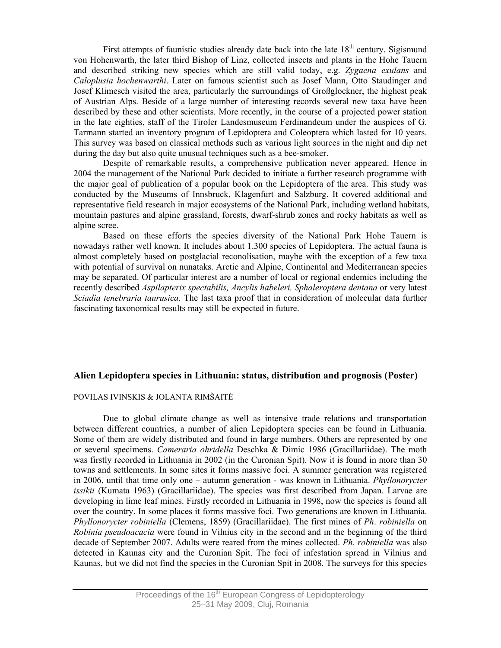First attempts of faunistic studies already date back into the late  $18<sup>th</sup>$  century. Sigismund von Hohenwarth, the later third Bishop of Linz, collected insects and plants in the Hohe Tauern and described striking new species which are still valid today, e.g. *Zygaena exulans* and *Caloplusia hochenwarthi*. Later on famous scientist such as Josef Mann, Otto Staudinger and Josef Klimesch visited the area, particularly the surroundings of Großglockner, the highest peak of Austrian Alps. Beside of a large number of interesting records several new taxa have been described by these and other scientists. More recently, in the course of a projected power station in the late eighties, staff of the Tiroler Landesmuseum Ferdinandeum under the auspices of G. Tarmann started an inventory program of Lepidoptera and Coleoptera which lasted for 10 years. This survey was based on classical methods such as various light sources in the night and dip net during the day but also quite unusual techniques such as a bee-smoker.

Despite of remarkable results, a comprehensive publication never appeared. Hence in 2004 the management of the National Park decided to initiate a further research programme with the major goal of publication of a popular book on the Lepidoptera of the area. This study was conducted by the Museums of Innsbruck, Klagenfurt and Salzburg. It covered additional and representative field research in major ecosystems of the National Park, including wetland habitats, mountain pastures and alpine grassland, forests, dwarf-shrub zones and rocky habitats as well as alpine scree.

Based on these efforts the species diversity of the National Park Hohe Tauern is nowadays rather well known. It includes about 1.300 species of Lepidoptera. The actual fauna is almost completely based on postglacial reconolisation, maybe with the exception of a few taxa with potential of survival on nunataks. Arctic and Alpine, Continental and Mediterranean species may be separated. Of particular interest are a number of local or regional endemics including the recently described *Aspilapterix spectabilis, Ancylis habeleri, Sphaleroptera dentana* or very latest *Sciadia tenebraria taurusica*. The last taxa proof that in consideration of molecular data further fascinating taxonomical results may still be expected in future.

## **Alien Lepidoptera species in Lithuania: status, distribution and prognosis (Poster)**

#### POVILAS IVINSKIS & JOLANTA RIMŠAITĖ

Due to global climate change as well as intensive trade relations and transportation between different countries, a number of alien Lepidoptera species can be found in Lithuania. Some of them are widely distributed and found in large numbers. Others are represented by one or several specimens. *Cameraria ohridella* Deschka & Dimic 1986 (Gracillariidae). The moth was firstly recorded in Lithuania in 2002 (in the Curonian Spit). Now it is found in more than 30 towns and settlements. In some sites it forms massive foci. A summer generation was registered in 2006, until that time only one – autumn generation - was known in Lithuania. *Phyllonorycter issikii* (Kumata 1963) (Gracillariidae). The species was first described from Japan. Larvae are developing in lime leaf mines. Firstly recorded in Lithuania in 1998, now the species is found all over the country. In some places it forms massive foci. Two generations are known in Lithuania. *Phyllonorycter robiniella* (Clemens, 1859) (Gracillariidae). The first mines of *Ph*. *robiniella* on *Robinia pseudoacacia* were found in Vilnius city in the second and in the beginning of the third decade of September 2007. Adults were reared from the mines collected. *Ph*. *robiniella* was also detected in Kaunas city and the Curonian Spit. The foci of infestation spread in Vilnius and Kaunas, but we did not find the species in the Curonian Spit in 2008. The surveys for this species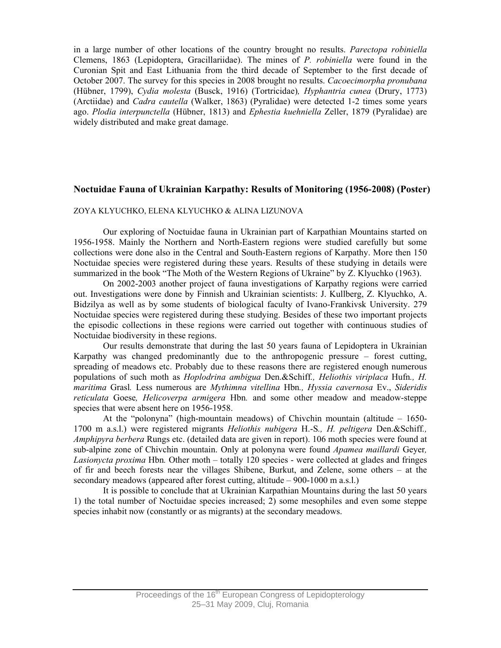in a large number of other locations of the country brought no results. *Parectopa robiniella*  Clemens, 1863 (Lepidoptera, Gracillariidae). The mines of *P. robiniella* were found in the Curonian Spit and East Lithuania from the third decade of September to the first decade of October 2007. The survey for this species in 2008 brought no results. *Cacoecimorpha pronubana* (Hübner, 1799), *Cydia molesta* (Busck, 1916) (Tortricidae)*, Hyphantria cunea* (Drury, 1773) (Arctiidae) and *Cadra cautella* (Walker, 1863) (Pyralidae) were detected 1-2 times some years ago. *Plodia interpunctella* (Hübner, 1813) and *Ephestia kuehniella* Zeller, 1879 (Pyralidae) are widely distributed and make great damage.

# **Noctuidae Fauna of Ukrainian Karpathy: Results of Monitoring (1956-2008) (Poster)**

#### ZOYA KLYUCHKO, ELENA KLYUCHKO & ALINA LIZUNOVA

Our exploring of Noctuidae fauna in Ukrainian part of Karpathian Mountains started on 1956-1958. Mainly the Northern and North-Eastern regions were studied carefully but some collections were done also in the Central and South-Eastern regions of Karpathy. More then 150 Noctuidae species were registered during these years. Results of these studying in details were summarized in the book "The Moth of the Western Regions of Ukraine" by Z. Klyuchko (1963).

 On 2002-2003 another project of fauna investigations of Karpathy regions were carried out. Investigations were done by Finnish and Ukrainian scientists: J. Kullberg, Z. Klyuchko, A. Bidzilya as well as by some students of biological faculty of Ivano-Frankivsk University. 279 Noctuidae species were registered during these studying. Besides of these two important projects the episodic collections in these regions were carried out together with continuous studies of Noctuidae biodiversity in these regions.

 Our results demonstrate that during the last 50 years fauna of Lepidoptera in Ukrainian Karpathy was changed predominantly due to the anthropogenic pressure – forest cutting, spreading of meadows etc. Probably due to these reasons there are registered enough numerous populations of such moth as *Hoplodrina ambigua* Den.&Schiff*., Heliothis viriplaca* Hufn*., H. maritima* Grasl*.* Less numerous are *Mythimna vitellina* Hbn*., Hyssia cavernosa* Ev., *Sideridis reticulata* Goese*, Helicoverpa armigera* Hbn*.* and some other meadow and meadow-steppe species that were absent here on 1956-1958.

 At the "polonyna" (high-mountain meadows) of Chivchin mountain (altitude – 1650- 1700 m a.s.l.) were registered migrants *Heliothis nubigera* H.-S*., H. peltigera* Den.&Schiff*., Amphipyra berbera* Rungs etc. (detailed data are given in report). 106 moth species were found at sub-alpine zone of Chivchin mountain. Only at polonyna were found *Apamea maillardi* Geyer*, Lasionycta proxima* Hbn*.* Other moth – totally 120 species - were collected at glades and fringes of fir and beech forests near the villages Shibene, Burkut, and Zelene, some others – at the secondary meadows (appeared after forest cutting, altitude – 900-1000 m a.s.l.)

 It is possible to conclude that at Ukrainian Karpathian Mountains during the last 50 years 1) the total number of Noctuidae species increased; 2) some mesophiles and even some steppe species inhabit now (constantly or as migrants) at the secondary meadows.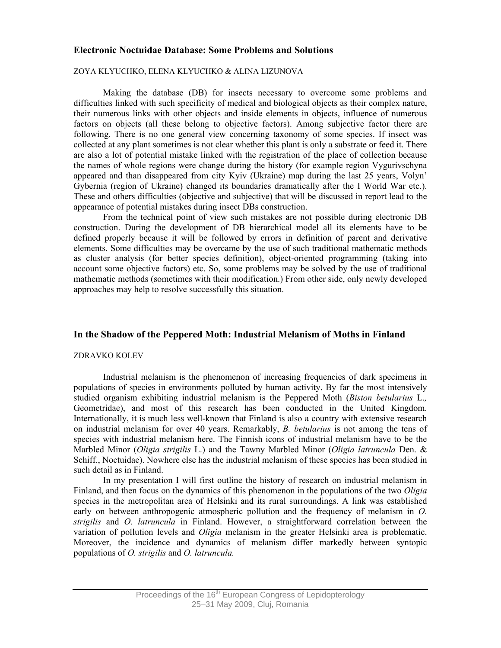# **Electronic Noctuidae Database: Some Problems and Solutions**

#### ZOYA KLYUCHKO, ELENA KLYUCHKO & ALINA LIZUNOVA

Making the database (DB) for insects necessary to overcome some problems and difficulties linked with such specificity of medical and biological objects as their complex nature, their numerous links with other objects and inside elements in objects, influence of numerous factors on objects (all these belong to objective factors). Among subjective factor there are following. There is no one general view concerning taxonomy of some species. If insect was collected at any plant sometimes is not clear whether this plant is only a substrate or feed it. There are also a lot of potential mistake linked with the registration of the place of collection because the names of whole regions were change during the history (for example region Vygurivschyna appeared and than disappeared from city Kyiv (Ukraine) map during the last 25 years, Volyn' Gybernia (region of Ukraine) changed its boundaries dramatically after the I World War etc.). These and others difficulties (objective and subjective) that will be discussed in report lead to the appearance of potential mistakes during insect DBs construction.

 From the technical point of view such mistakes are not possible during electronic DB construction. During the development of DB hierarchical model all its elements have to be defined properly because it will be followed by errors in definition of parent and derivative elements. Some difficulties may be overcame by the use of such traditional mathematic methods as cluster analysis (for better species definition), object-oriented programming (taking into account some objective factors) etc. So, some problems may be solved by the use of traditional mathematic methods (sometimes with their modification.) From other side, only newly developed approaches may help to resolve successfully this situation.

# **In the Shadow of the Peppered Moth: Industrial Melanism of Moths in Finland**

#### ZDRAVKO KOLEV

Industrial melanism is the phenomenon of increasing frequencies of dark specimens in populations of species in environments polluted by human activity. By far the most intensively studied organism exhibiting industrial melanism is the Peppered Moth (*Biston betularius* L.*,*  Geometridae), and most of this research has been conducted in the United Kingdom. Internationally, it is much less well-known that Finland is also a country with extensive research on industrial melanism for over 40 years. Remarkably, *B. betularius* is not among the tens of species with industrial melanism here. The Finnish icons of industrial melanism have to be the Marbled Minor (*Oligia strigilis* L.) and the Tawny Marbled Minor (*Oligia latruncula* Den. & Schiff., Noctuidae). Nowhere else has the industrial melanism of these species has been studied in such detail as in Finland.

In my presentation I will first outline the history of research on industrial melanism in Finland, and then focus on the dynamics of this phenomenon in the populations of the two *Oligia* species in the metropolitan area of Helsinki and its rural surroundings. A link was established early on between anthropogenic atmospheric pollution and the frequency of melanism in *O. strigilis* and *O. latruncula* in Finland. However, a straightforward correlation between the variation of pollution levels and *Oligia* melanism in the greater Helsinki area is problematic. Moreover, the incidence and dynamics of melanism differ markedly between syntopic populations of *O. strigilis* and *O. latruncula.*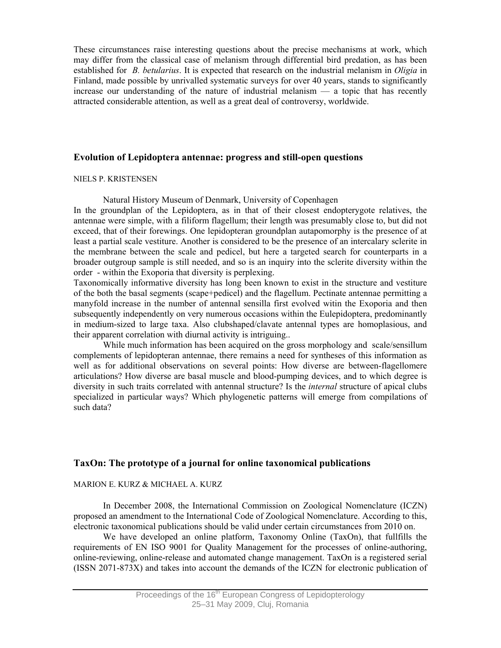These circumstances raise interesting questions about the precise mechanisms at work, which may differ from the classical case of melanism through differential bird predation, as has been established for *B. betularius*. It is expected that research on the industrial melanism in *Oligia* in Finland, made possible by unrivalled systematic surveys for over 40 years, stands to significantly increase our understanding of the nature of industrial melanism — a topic that has recently attracted considerable attention, as well as a great deal of controversy, worldwide.

# **Evolution of Lepidoptera antennae: progress and still-open questions**

#### NIELS P. KRISTENSEN

Natural History Museum of Denmark, University of Copenhagen

In the groundplan of the Lepidoptera, as in that of their closest endopterygote relatives, the antennae were simple, with a filiform flagellum; their length was presumably close to, but did not exceed, that of their forewings. One lepidopteran groundplan autapomorphy is the presence of at least a partial scale vestiture. Another is considered to be the presence of an intercalary sclerite in the membrane between the scale and pedicel, but here a targeted search for counterparts in a broader outgroup sample is still needed, and so is an inquiry into the sclerite diversity within the order - within the Exoporia that diversity is perplexing.

Taxonomically informative diversity has long been known to exist in the structure and vestiture of the both the basal segments (scape+pedicel) and the flagellum. Pectinate antennae permitting a manyfold increase in the number of antennal sensilla first evolved witin the Exoporia and then subsequently independently on very numerous occasions within the Eulepidoptera, predominantly in medium-sized to large taxa. Also clubshaped/clavate antennal types are homoplasious, and their apparent correlation with diurnal activity is intriguing..

 While much information has been acquired on the gross morphology and scale/sensillum complements of lepidopteran antennae, there remains a need for syntheses of this information as well as for additional observations on several points: How diverse are between-flagellomere articulations? How diverse are basal muscle and blood-pumping devices, and to which degree is diversity in such traits correlated with antennal structure? Is the *internal* structure of apical clubs specialized in particular ways? Which phylogenetic patterns will emerge from compilations of such data?

# **TaxOn: The prototype of a journal for online taxonomical publications**

### MARION E. KURZ & MICHAEL A. KURZ

In December 2008, the International Commission on Zoological Nomenclature (ICZN) proposed an amendment to the International Code of Zoological Nomenclature. According to this, electronic taxonomical publications should be valid under certain circumstances from 2010 on.

We have developed an online platform, Taxonomy Online (TaxOn), that fullfills the requirements of EN ISO 9001 for Quality Management for the processes of online-authoring, online-reviewing, online-release and automated change management. TaxOn is a registered serial (ISSN 2071-873X) and takes into account the demands of the ICZN for electronic publication of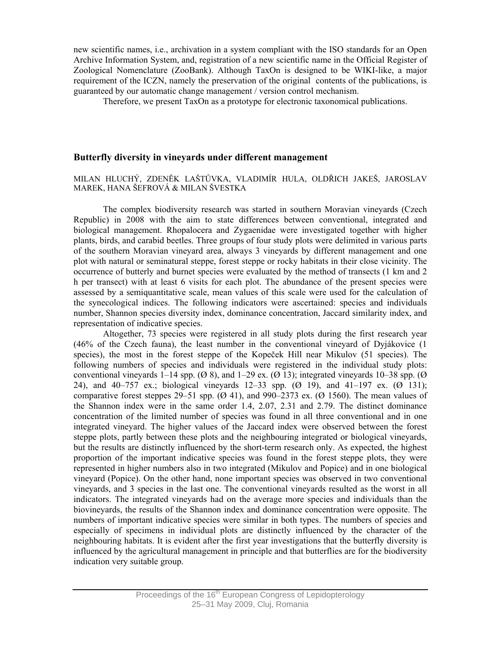new scientific names, i.e., archivation in a system compliant with the ISO standards for an Open Archive Information System, and, registration of a new scientific name in the Official Register of Zoological Nomenclature (ZooBank). Although TaxOn is designed to be WIKI-like, a major requirement of the ICZN, namely the preservation of the original contents of the publications, is guaranteed by our automatic change management / version control mechanism.

Therefore, we present TaxOn as a prototype for electronic taxonomical publications.

## **Butterfly diversity in vineyards under different management**

#### MILAN HLUCHÝ, ZDENĚK LAŠTŮVKA, VLADIMÍR HULA, OLDŘICH JAKEŠ, JAROSLAV MAREK, HANA ŠEFROVÁ & MILAN ŠVESTKA

The complex biodiversity research was started in southern Moravian vineyards (Czech Republic) in 2008 with the aim to state differences between conventional, integrated and biological management. Rhopalocera and Zygaenidae were investigated together with higher plants, birds, and carabid beetles. Three groups of four study plots were delimited in various parts of the southern Moravian vineyard area, always 3 vineyards by different management and one plot with natural or seminatural steppe, forest steppe or rocky habitats in their close vicinity. The occurrence of butterly and burnet species were evaluated by the method of transects (1 km and 2 h per transect) with at least 6 visits for each plot. The abundance of the present species were assessed by a semiquantitative scale, mean values of this scale were used for the calculation of the synecological indices. The following indicators were ascertained: species and individuals number, Shannon species diversity index, dominance concentration, Jaccard similarity index, and representation of indicative species.

 Altogether, 73 species were registered in all study plots during the first research year (46% of the Czech fauna), the least number in the conventional vineyard of Dyjákovice (1 species), the most in the forest steppe of the Kopeček Hill near Mikulov (51 species). The following numbers of species and individuals were registered in the individual study plots: conventional vineyards 1–14 spp.  $(\emptyset 8)$ , and 1–29 ex.  $(\emptyset 13)$ ; integrated vineyards 10–38 spp.  $(\emptyset$ 24), and 40–757 ex.; biological vineyards 12–33 spp. (Ø 19), and 41–197 ex. (Ø 131); comparative forest steppes 29–51 spp.  $(\emptyset$  41), and 990–2373 ex.  $(\emptyset$  1560). The mean values of the Shannon index were in the same order 1.4, 2.07, 2.31 and 2.79. The distinct dominance concentration of the limited number of species was found in all three conventional and in one integrated vineyard. The higher values of the Jaccard index were observed between the forest steppe plots, partly between these plots and the neighbouring integrated or biological vineyards, but the results are distinctly influenced by the short-term research only. As expected, the highest proportion of the important indicative species was found in the forest steppe plots, they were represented in higher numbers also in two integrated (Mikulov and Popice) and in one biological vineyard (Popice). On the other hand, none important species was observed in two conventional vineyards, and 3 species in the last one. The conventional vineyards resulted as the worst in all indicators. The integrated vineyards had on the average more species and individuals than the biovineyards, the results of the Shannon index and dominance concentration were opposite. The numbers of important indicative species were similar in both types. The numbers of species and especially of specimens in individual plots are distinctly influenced by the character of the neighbouring habitats. It is evident after the first year investigations that the butterfly diversity is influenced by the agricultural management in principle and that butterflies are for the biodiversity indication very suitable group.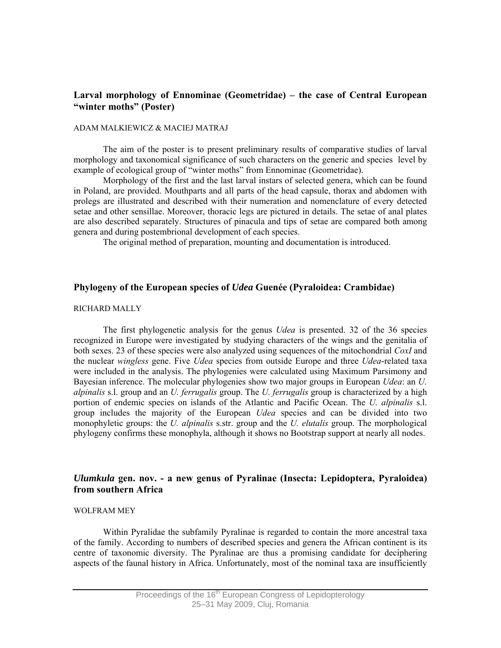# **Larval morphology of Ennominae (Geometridae) – the case of Central European "winter moths" (Poster)**

#### ADAM MALKIEWICZ & MACIEJ MATRAJ

The aim of the poster is to present preliminary results of comparative studies of larval morphology and taxonomical significance of such characters on the generic and species level by example of ecological group of "winter moths" from Ennominae (Geometridae).

 Morphology of the first and the last larval instars of selected genera, which can be found in Poland, are provided. Mouthparts and all parts of the head capsule, thorax and abdomen with prolegs are illustrated and described with their numeration and nomenclature of every detected setae and other sensillae. Moreover, thoracic legs are pictured in details. The setae of anal plates are also described separately. Structures of pinacula and tips of setae are compared both among genera and during postembrional development of each species.

The original method of preparation, mounting and documentation is introduced.

#### **Phylogeny of the European species of** *Udea* **Guenée (Pyraloidea: Crambidae)**

#### RICHARD MALLY

The first phylogenetic analysis for the genus *Udea* is presented. 32 of the 36 species recognized in Europe were investigated by studying characters of the wings and the genitalia of both sexes. 23 of these species were also analyzed using sequences of the mitochondrial *CoxI* and the nuclear *wingless* gene. Five *Udea* species from outside Europe and three *Udea*-related taxa were included in the analysis. The phylogenies were calculated using Maximum Parsimony and Bayesian inference. The molecular phylogenies show two major groups in European *Udea*: an *U. alpinalis* s.l. group and an *U. ferrugalis* group. The *U. ferrugalis* group is characterized by a high portion of endemic species on islands of the Atlantic and Pacific Ocean. The *U. alpinalis* s.l. group includes the majority of the European *Udea* species and can be divided into two monophyletic groups: the *U. alpinalis* s.str. group and the *U. elutalis* group. The morphological phylogeny confirms these monophyla, although it shows no Bootstrap support at nearly all nodes.

# *Ulumkula* **gen. nov. - a new genus of Pyralinae (Insecta: Lepidoptera, Pyraloidea) from southern Africa**

#### WOLFRAM MEY

Within Pyralidae the subfamily Pyralinae is regarded to contain the more ancestral taxa of the family. According to numbers of described species and genera the African continent is its centre of taxonomic diversity. The Pyralinae are thus a promising candidate for deciphering aspects of the faunal history in Africa. Unfortunately, most of the nominal taxa are insufficiently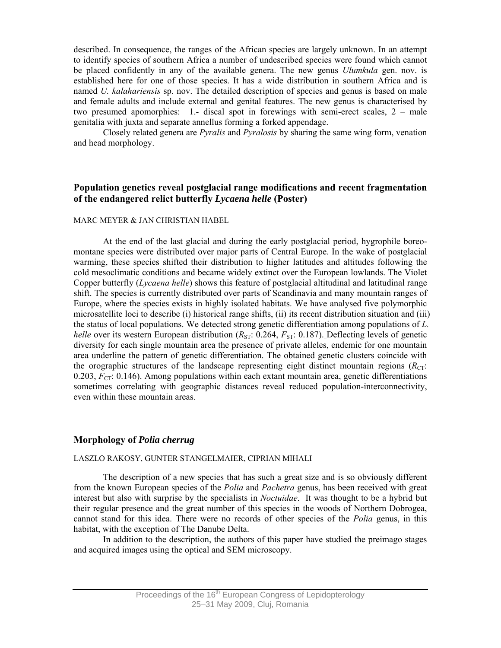described. In consequence, the ranges of the African species are largely unknown. In an attempt to identify species of southern Africa a number of undescribed species were found which cannot be placed confidently in any of the available genera. The new genus *Ulumkula* gen. nov. is established here for one of those species. It has a wide distribution in southern Africa and is named *U. kalahariensis* sp. nov. The detailed description of species and genus is based on male and female adults and include external and genital features. The new genus is characterised by two presumed apomorphies: 1.- discal spot in forewings with semi-erect scales, 2 – male genitalia with juxta and separate annellus forming a forked appendage.

Closely related genera are *Pyralis* and *Pyralosis* by sharing the same wing form, venation and head morphology.

### **Population genetics reveal postglacial range modifications and recent fragmentation of the endangered relict butterfly** *Lycaena helle* **(Poster)**

#### MARC MEYER & JAN CHRISTIAN HABEL

At the end of the last glacial and during the early postglacial period, hygrophile boreomontane species were distributed over major parts of Central Europe. In the wake of postglacial warming, these species shifted their distribution to higher latitudes and altitudes following the cold mesoclimatic conditions and became widely extinct over the European lowlands. The Violet Copper butterfly (*Lycaena helle*) shows this feature of postglacial altitudinal and latitudinal range shift. The species is currently distributed over parts of Scandinavia and many mountain ranges of Europe, where the species exists in highly isolated habitats. We have analysed five polymorphic microsatellite loci to describe (i) historical range shifts, (ii) its recent distribution situation and (iii) the status of local populations. We detected strong genetic differentiation among populations of *L. helle* over its western European distribution  $(R_{ST}$ : 0.264,  $F_{ST}$ : 0.187). Deflecting levels of genetic diversity for each single mountain area the presence of private alleles, endemic for one mountain area underline the pattern of genetic differentiation. The obtained genetic clusters coincide with the orographic structures of the landscape representing eight distinct mountain regions  $(R<sub>CT</sub>)$ : 0.203,  $F_{CT}$ : 0.146). Among populations within each extant mountain area, genetic differentiations sometimes correlating with geographic distances reveal reduced population-interconnectivity, even within these mountain areas.

#### **Morphology of** *Polia cherrug*

#### LASZLO RAKOSY, GUNTER STANGELMAIER, CIPRIAN MIHALI

The description of a new species that has such a great size and is so obviously different from the known European species of the *Polia* and *Pachetra* genus, has been received with great interest but also with surprise by the specialists in *Noctuidae*. It was thought to be a hybrid but their regular presence and the great number of this species in the woods of Northern Dobrogea, cannot stand for this idea. There were no records of other species of the *Polia* genus, in this habitat, with the exception of The Danube Delta.

 In addition to the description, the authors of this paper have studied the preimago stages and acquired images using the optical and SEM microscopy.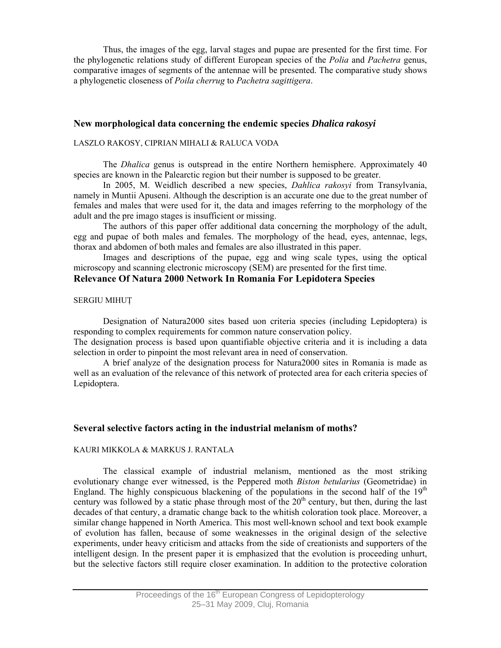Thus, the images of the egg, larval stages and pupae are presented for the first time. For the phylogenetic relations study of different European species of the *Polia* and *Pachetra* genus, comparative images of segments of the antennae will be presented. The comparative study shows a phylogenetic closeness of *Poila cherrug* to *Pachetra sagittigera*.

## **New morphological data concerning the endemic species** *Dhalica rakosyi*

#### LASZLO RAKOSY, CIPRIAN MIHALI & RALUCA VODA

The *Dhalica* genus is outspread in the entire Northern hemisphere. Approximately 40 species are known in the Palearctic region but their number is supposed to be greater.

In 2005, M. Weidlich described a new species, *Dahlica rakosyi* from Transylvania, namely in Muntii Apuseni. Although the description is an accurate one due to the great number of females and males that were used for it, the data and images referring to the morphology of the adult and the pre imago stages is insufficient or missing.

The authors of this paper offer additional data concerning the morphology of the adult, egg and pupae of both males and females. The morphology of the head, eyes, antennae, legs, thorax and abdomen of both males and females are also illustrated in this paper.

Images and descriptions of the pupae, egg and wing scale types, using the optical microscopy and scanning electronic microscopy (SEM) are presented for the first time.

# **Relevance Of Natura 2000 Network In Romania For Lepidotera Species**

#### SERGIU MIHUŢ

Designation of Natura2000 sites based uon criteria species (including Lepidoptera) is responding to complex requirements for common nature conservation policy.

The designation process is based upon quantifiable objective criteria and it is including a data selection in order to pinpoint the most relevant area in need of conservation.

A brief analyze of the designation process for Natura2000 sites in Romania is made as well as an evaluation of the relevance of this network of protected area for each criteria species of Lepidoptera.

### **Several selective factors acting in the industrial melanism of moths?**

#### KAURI MIKKOLA & MARKUS J. RANTALA

The classical example of industrial melanism, mentioned as the most striking evolutionary change ever witnessed, is the Peppered moth *Biston betularius* (Geometridae) in England. The highly conspicuous blackening of the populations in the second half of the  $19<sup>th</sup>$ century was followed by a static phase through most of the 20<sup>th</sup> century, but then, during the last decades of that century, a dramatic change back to the whitish coloration took place. Moreover, a similar change happened in North America. This most well-known school and text book example of evolution has fallen, because of some weaknesses in the original design of the selective experiments, under heavy criticism and attacks from the side of creationists and supporters of the intelligent design. In the present paper it is emphasized that the evolution is proceeding unhurt, but the selective factors still require closer examination. In addition to the protective coloration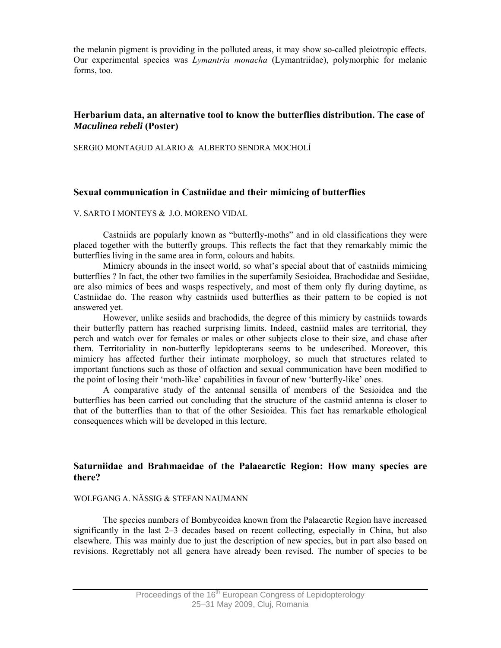the melanin pigment is providing in the polluted areas, it may show so-called pleiotropic effects. Our experimental species was *Lymantria monacha* (Lymantriidae), polymorphic for melanic forms, too.

# **Herbarium data, an alternative tool to know the butterflies distribution. The case of**  *Maculinea rebeli* **(Poster)**

SERGIO MONTAGUD ALARIO & ALBERTO SENDRA MOCHOLÍ

#### **Sexual communication in Castniidae and their mimicing of butterflies**

#### V. SARTO I MONTEYS & J.O. MORENO VIDAL

Castniids are popularly known as "butterfly-moths" and in old classifications they were placed together with the butterfly groups. This reflects the fact that they remarkably mimic the butterflies living in the same area in form, colours and habits.

Mimicry abounds in the insect world, so what's special about that of castniids mimicing butterflies ? In fact, the other two families in the superfamily Sesioidea, Brachodidae and Sesiidae, are also mimics of bees and wasps respectively, and most of them only fly during daytime, as Castniidae do. The reason why castniids used butterflies as their pattern to be copied is not answered yet.

However, unlike sesiids and brachodids, the degree of this mimicry by castniids towards their butterfly pattern has reached surprising limits. Indeed, castniid males are territorial, they perch and watch over for females or males or other subjects close to their size, and chase after them. Territoriality in non-butterfly lepidopterans seems to be undescribed. Moreover, this mimicry has affected further their intimate morphology, so much that structures related to important functions such as those of olfaction and sexual communication have been modified to the point of losing their 'moth-like' capabilities in favour of new 'butterfly-like' ones.

A comparative study of the antennal sensilla of members of the Sesioidea and the butterflies has been carried out concluding that the structure of the castniid antenna is closer to that of the butterflies than to that of the other Sesioidea. This fact has remarkable ethological consequences which will be developed in this lecture.

# **Saturniidae and Brahmaeidae of the Palaearctic Region: How many species are there?**

#### WOLFGANG A. NÄSSIG & STEFAN NAUMANN

The species numbers of Bombycoidea known from the Palaearctic Region have increased significantly in the last 2–3 decades based on recent collecting, especially in China, but also elsewhere. This was mainly due to just the description of new species, but in part also based on revisions. Regrettably not all genera have already been revised. The number of species to be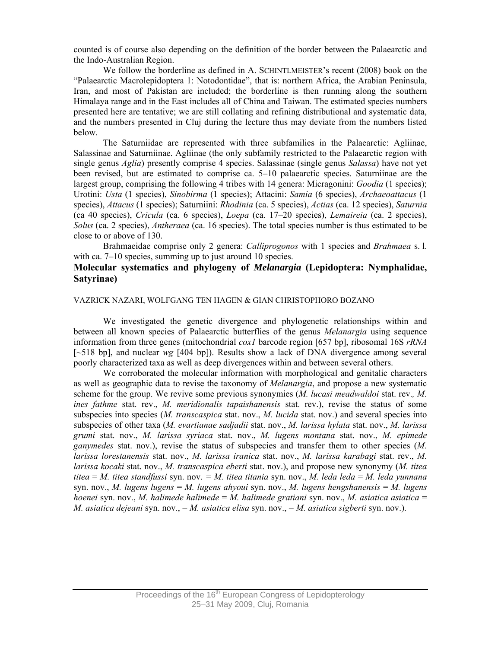counted is of course also depending on the definition of the border between the Palaearctic and the Indo-Australian Region.

We follow the borderline as defined in A. SCHINTLMEISTER's recent (2008) book on the "Palaearctic Macrolepidoptera 1: Notodontidae", that is: northern Africa, the Arabian Peninsula, Iran, and most of Pakistan are included; the borderline is then running along the southern Himalaya range and in the East includes all of China and Taiwan. The estimated species numbers presented here are tentative; we are still collating and refining distributional and systematic data, and the numbers presented in Cluj during the lecture thus may deviate from the numbers listed below.

The Saturniidae are represented with three subfamilies in the Palaearctic: Agliinae, Salassinae and Saturniinae. Agliinae (the only subfamily restricted to the Palaearctic region with single genus *Aglia*) presently comprise 4 species. Salassinae (single genus *Salassa*) have not yet been revised, but are estimated to comprise ca. 5–10 palaearctic species. Saturniinae are the largest group, comprising the following 4 tribes with 14 genera: Micragonini: *Goodia* (1 species); Urotini: *Usta* (1 species), *Sinobirma* (1 species); Attacini: *Samia* (6 species), *Archaeoattacus* (1 species), *Attacus* (1 species); Saturniini: *Rhodinia* (ca. 5 species), *Actias* (ca. 12 species), *Saturnia* (ca 40 species), *Cricula* (ca. 6 species), *Loepa* (ca. 17–20 species), *Lemaireia* (ca. 2 species), *Solus* (ca. 2 species), *Antheraea* (ca. 16 species). The total species number is thus estimated to be close to or above of 130.

Brahmaeidae comprise only 2 genera: *Calliprogonos* with 1 species and *Brahmaea* s. l. with ca. 7–10 species, summing up to just around 10 species.

# **Molecular systematics and phylogeny of** *Melanargia* **(Lepidoptera: Nymphalidae, Satyrinae)**

#### VAZRICK NAZARI, WOLFGANG TEN HAGEN & GIAN CHRISTOPHORO BOZANO

We investigated the genetic divergence and phylogenetic relationships within and between all known species of Palaearctic butterflies of the genus *Melanargia* using sequence information from three genes (mitochondrial *cox1* barcode region [657 bp], ribosomal 16S *rRNA* [~518 bp], and nuclear *wg* [404 bp]). Results show a lack of DNA divergence among several poorly characterized taxa as well as deep divergences within and between several others.

We corroborated the molecular information with morphological and genitalic characters as well as geographic data to revise the taxonomy of *Melanargia*, and propose a new systematic scheme for the group. We revive some previous synonymies (*M. lucasi meadwaldoi* stat. rev.*, M. ines fathme* stat. rev., *M. meridionalis tapaishanensis* stat. rev.), revise the status of some subspecies into species (*M. transcaspica* stat. nov., *M. lucida* stat. nov.) and several species into subspecies of other taxa (*M. evartianae sadjadii* stat. nov., *M. larissa hylata* stat. nov., *M. larissa grumi* stat. nov., *M. larissa syriaca* stat. nov., *M. lugens montana* stat. nov., *M. epimede ganymedes* stat. nov.), revise the status of subspecies and transfer them to other species (*M. larissa lorestanensis* stat. nov., *M. larissa iranica* stat. nov., *M. larissa karabagi* stat. rev., *M. larissa kocaki* stat. nov., *M. transcaspica eberti* stat. nov.), and propose new synonymy (*M. titea titea* = *M. titea standfussi* syn. nov. *= M. titea titania* syn. nov., *M. leda leda* = *M. leda yunnana* syn. nov., *M. lugens lugens* = *M. lugens ahyoui* syn. nov., *M. lugens hengshanensis* = *M. lugens hoenei* syn. nov., *M. halimede halimede* = *M. halimede gratiani* syn. nov., *M. asiatica asiatica* = *M. asiatica dejeani* syn. nov., = *M. asiatica elisa* syn. nov., = *M. asiatica sigberti* syn. nov.).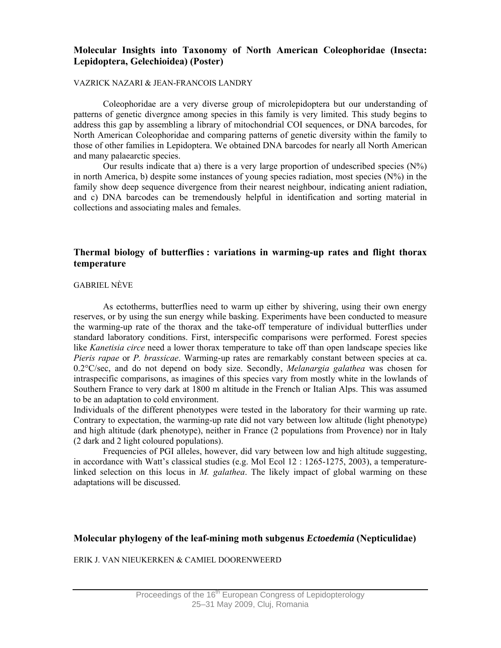# **Molecular Insights into Taxonomy of North American Coleophoridae (Insecta: Lepidoptera, Gelechioidea) (Poster)**

#### VAZRICK NAZARI & JEAN-FRANCOIS LANDRY

Coleophoridae are a very diverse group of microlepidoptera but our understanding of patterns of genetic divergnce among species in this family is very limited. This study begins to address this gap by assembling a library of mitochondrial COI sequences, or DNA barcodes, for North American Coleophoridae and comparing patterns of genetic diversity within the family to those of other families in Lepidoptera. We obtained DNA barcodes for nearly all North American and many palaearctic species.

Our results indicate that a) there is a very large proportion of undescribed species  $(N\%)$ in north America, b) despite some instances of young species radiation, most species  $(N\%)$  in the family show deep sequence divergence from their nearest neighbour, indicating anient radiation, and c) DNA barcodes can be tremendously helpful in identification and sorting material in collections and associating males and females.

# **Thermal biology of butterflies : variations in warming-up rates and flight thorax temperature**

#### GABRIEL NÈVE

As ectotherms, butterflies need to warm up either by shivering, using their own energy reserves, or by using the sun energy while basking. Experiments have been conducted to measure the warming-up rate of the thorax and the take-off temperature of individual butterflies under standard laboratory conditions. First, interspecific comparisons were performed. Forest species like *Kanetisia circe* need a lower thorax temperature to take off than open landscape species like *Pieris rapae* or *P. brassicae*. Warming-up rates are remarkably constant between species at ca. 0.2°C/sec, and do not depend on body size. Secondly, *Melanargia galathea* was chosen for intraspecific comparisons, as imagines of this species vary from mostly white in the lowlands of Southern France to very dark at 1800 m altitude in the French or Italian Alps. This was assumed to be an adaptation to cold environment.

Individuals of the different phenotypes were tested in the laboratory for their warming up rate. Contrary to expectation, the warming-up rate did not vary between low altitude (light phenotype) and high altitude (dark phenotype), neither in France (2 populations from Provence) nor in Italy (2 dark and 2 light coloured populations).

Frequencies of PGI alleles, however, did vary between low and high altitude suggesting, in accordance with Watt's classical studies (e.g. Mol Ecol 12 : 1265-1275, 2003), a temperaturelinked selection on this locus in *M. galathea*. The likely impact of global warming on these adaptations will be discussed.

# **Molecular phylogeny of the leaf-mining moth subgenus** *Ectoedemia* **(Nepticulidae)**

ERIK J. VAN NIEUKERKEN & CAMIEL DOORENWEERD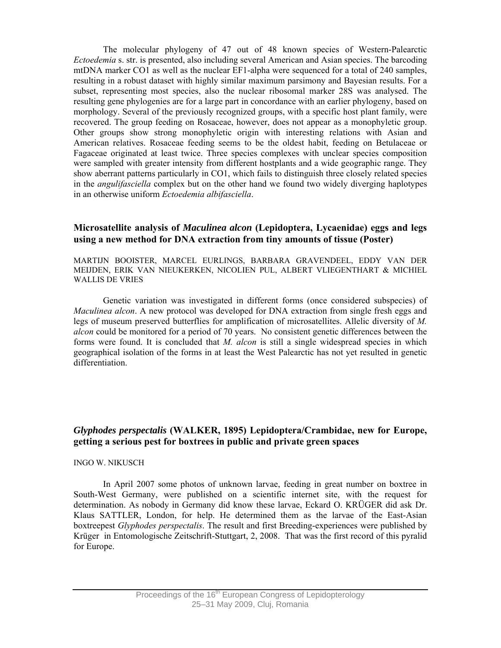The molecular phylogeny of 47 out of 48 known species of Western-Palearctic *Ectoedemia* s. str. is presented, also including several American and Asian species. The barcoding mtDNA marker CO1 as well as the nuclear EF1-alpha were sequenced for a total of 240 samples, resulting in a robust dataset with highly similar maximum parsimony and Bayesian results. For a subset, representing most species, also the nuclear ribosomal marker 28S was analysed. The resulting gene phylogenies are for a large part in concordance with an earlier phylogeny, based on morphology. Several of the previously recognized groups, with a specific host plant family, were recovered. The group feeding on Rosaceae, however, does not appear as a monophyletic group. Other groups show strong monophyletic origin with interesting relations with Asian and American relatives. Rosaceae feeding seems to be the oldest habit, feeding on Betulaceae or Fagaceae originated at least twice. Three species complexes with unclear species composition were sampled with greater intensity from different hostplants and a wide geographic range. They show aberrant patterns particularly in CO1, which fails to distinguish three closely related species in the *angulifasciella* complex but on the other hand we found two widely diverging haplotypes in an otherwise uniform *Ectoedemia albifasciella*.

# **Microsatellite analysis of** *Maculinea alcon* **(Lepidoptera, Lycaenidae) eggs and legs using a new method for DNA extraction from tiny amounts of tissue (Poster)**

MARTIJN BOOISTER, MARCEL EURLINGS, BARBARA GRAVENDEEL, EDDY VAN DER MEIJDEN, ERIK VAN NIEUKERKEN, NICOLIEN PUL, ALBERT VLIEGENTHART & MICHIEL WALLIS DE VRIES

Genetic variation was investigated in different forms (once considered subspecies) of *Maculinea alcon*. A new protocol was developed for DNA extraction from single fresh eggs and legs of museum preserved butterflies for amplification of microsatellites. Allelic diversity of *M. alcon* could be monitored for a period of 70 years. No consistent genetic differences between the forms were found. It is concluded that *M. alcon* is still a single widespread species in which geographical isolation of the forms in at least the West Palearctic has not yet resulted in genetic differentiation.

# *Glyphodes perspectalis* **(WALKER, 1895) Lepidoptera/Crambidae, new for Europe, getting a serious pest for boxtrees in public and private green spaces**

#### INGO W. NIKUSCH

In April 2007 some photos of unknown larvae, feeding in great number on boxtree in South-West Germany, were published on a scientific internet site, with the request for determination. As nobody in Germany did know these larvae, Eckard O. KRÜGER did ask Dr. Klaus SATTLER, London, for help. He determined them as the larvae of the East-Asian boxtreepest *Glyphodes perspectalis*. The result and first Breeding-experiences were published by Krüger in Entomologische Zeitschrift-Stuttgart, 2, 2008. That was the first record of this pyralid for Europe.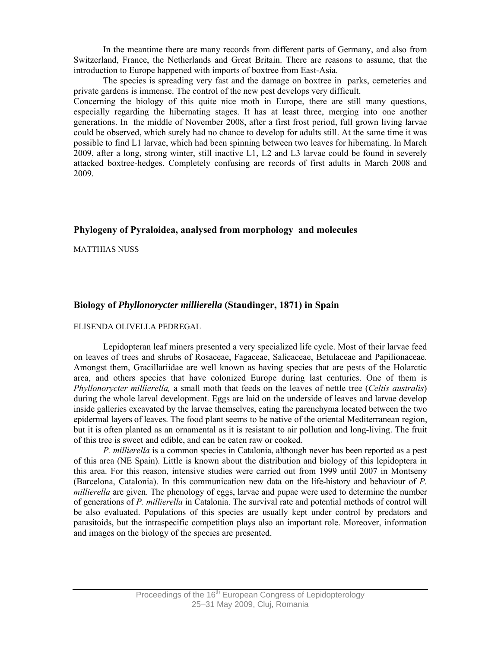In the meantime there are many records from different parts of Germany, and also from Switzerland, France, the Netherlands and Great Britain. There are reasons to assume, that the introduction to Europe happened with imports of boxtree from East-Asia.

The species is spreading very fast and the damage on boxtree in parks, cemeteries and private gardens is immense. The control of the new pest develops very difficult.

Concerning the biology of this quite nice moth in Europe, there are still many questions, especially regarding the hibernating stages. It has at least three, merging into one another generations. In the middle of November 2008, after a first frost period, full grown living larvae could be observed, which surely had no chance to develop for adults still. At the same time it was possible to find L1 larvae, which had been spinning between two leaves for hibernating. In March 2009, after a long, strong winter, still inactive L1, L2 and L3 larvae could be found in severely attacked boxtree-hedges. Completely confusing are records of first adults in March 2008 and 2009.

# **Phylogeny of Pyraloidea, analysed from morphology and molecules**

MATTHIAS NUSS

# **Biology of** *Phyllonorycter millierella* **(Staudinger, 1871) in Spain**

### ELISENDA OLIVELLA PEDREGAL

Lepidopteran leaf miners presented a very specialized life cycle. Most of their larvae feed on leaves of trees and shrubs of Rosaceae, Fagaceae, Salicaceae, Betulaceae and Papilionaceae. Amongst them, Gracillariidae are well known as having species that are pests of the Holarctic area, and others species that have colonized Europe during last centuries. One of them is *Phyllonorycter millierella,* a small moth that feeds on the leaves of nettle tree (*Celtis australis*) during the whole larval development. Eggs are laid on the underside of leaves and larvae develop inside galleries excavated by the larvae themselves, eating the parenchyma located between the two epidermal layers of leaves. The food plant seems to be native of the oriental Mediterranean region, but it is often planted as an ornamental as it is resistant to air pollution and long-living. The fruit of this tree is sweet and edible, and can be eaten raw or cooked.

*P. millierella* is a common species in Catalonia, although never has been reported as a pest of this area (NE Spain). Little is known about the distribution and biology of this lepidoptera in this area. For this reason, intensive studies were carried out from 1999 until 2007 in Montseny (Barcelona, Catalonia). In this communication new data on the life-history and behaviour of *P. millierella* are given. The phenology of eggs, larvae and pupae were used to determine the number of generations of *P. millierella* in Catalonia. The survival rate and potential methods of control will be also evaluated. Populations of this species are usually kept under control by predators and parasitoids, but the intraspecific competition plays also an important role. Moreover, information and images on the biology of the species are presented.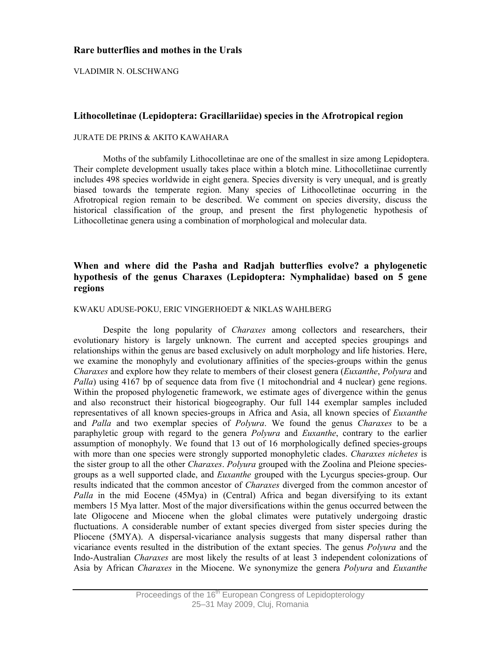# **Rare butterflies and mothes in the Urals**

VLADIMIR N. OLSCHWANG

# **Lithocolletinae (Lepidoptera: Gracillariidae) species in the Afrotropical region**

### JURATE DE PRINS & AKITO KAWAHARA

Moths of the subfamily Lithocolletinae are one of the smallest in size among Lepidoptera. Their complete development usually takes place within a blotch mine. Lithocolletiinae currently includes 498 species worldwide in eight genera. Species diversity is very unequal, and is greatly biased towards the temperate region. Many species of Lithocolletinae occurring in the Afrotropical region remain to be described. We comment on species diversity, discuss the historical classification of the group, and present the first phylogenetic hypothesis of Lithocolletinae genera using a combination of morphological and molecular data.

# **When and where did the Pasha and Radjah butterflies evolve? a phylogenetic hypothesis of the genus Charaxes (Lepidoptera: Nymphalidae) based on 5 gene regions**

#### KWAKU ADUSE-POKU, ERIC VINGERHOEDT & NIKLAS WAHLBERG

Despite the long popularity of *Charaxes* among collectors and researchers, their evolutionary history is largely unknown. The current and accepted species groupings and relationships within the genus are based exclusively on adult morphology and life histories. Here, we examine the monophyly and evolutionary affinities of the species-groups within the genus *Charaxes* and explore how they relate to members of their closest genera (*Euxanthe*, *Polyura* and *Palla*) using 4167 bp of sequence data from five (1 mitochondrial and 4 nuclear) gene regions. Within the proposed phylogenetic framework, we estimate ages of divergence within the genus and also reconstruct their historical biogeography. Our full 144 exemplar samples included representatives of all known species-groups in Africa and Asia, all known species of *Euxanthe*  and *Palla* and two exemplar species of *Polyura*. We found the genus *Charaxes* to be a paraphyletic group with regard to the genera *Polyura* and *Euxanthe*, contrary to the earlier assumption of monophyly. We found that 13 out of 16 morphologically defined species-groups with more than one species were strongly supported monophyletic clades. *Charaxes nichetes* is the sister group to all the other *Charaxes*. *Polyura* grouped with the Zoolina and Pleione speciesgroups as a well supported clade, and *Euxanthe* grouped with the Lycurgus species-group. Our results indicated that the common ancestor of *Charaxes* diverged from the common ancestor of *Palla* in the mid Eocene (45Mya) in (Central) Africa and began diversifying to its extant members 15 Mya latter. Most of the major diversifications within the genus occurred between the late Oligocene and Miocene when the global climates were putatively undergoing drastic fluctuations. A considerable number of extant species diverged from sister species during the Pliocene (5MYA). A dispersal-vicariance analysis suggests that many dispersal rather than vicariance events resulted in the distribution of the extant species. The genus *Polyura* and the Indo-Australian *Charaxes* are most likely the results of at least 3 independent colonizations of Asia by African *Charaxes* in the Miocene. We synonymize the genera *Polyura* and *Euxanthe*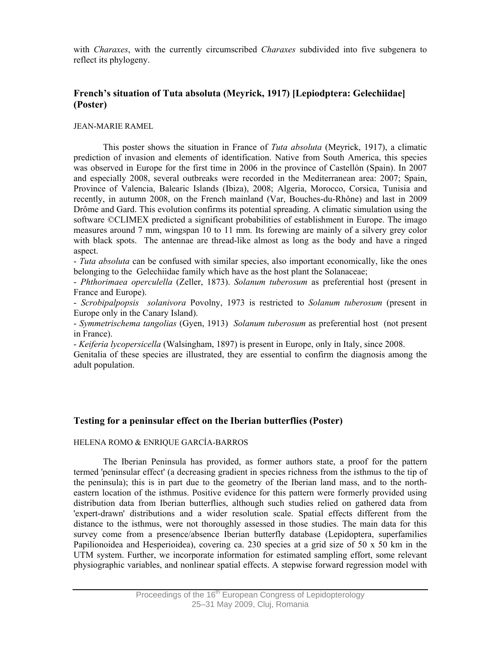with *Charaxes*, with the currently circumscribed *Charaxes* subdivided into five subgenera to reflect its phylogeny.

# **French's situation of Tuta absoluta (Meyrick, 1917) [Lepiodptera: Gelechiidae] (Poster)**

#### JEAN-MARIE RAMEL

This poster shows the situation in France of *Tuta absoluta* (Meyrick, 1917), a climatic prediction of invasion and elements of identification. Native from South America, this species was observed in Europe for the first time in 2006 in the province of Castellón (Spain). In 2007 and especially 2008, several outbreaks were recorded in the Mediterranean area: 2007; Spain, Province of Valencia, Balearic Islands (Ibiza), 2008; Algeria, Morocco, Corsica, Tunisia and recently, in autumn 2008, on the French mainland (Var, Bouches-du-Rhône) and last in 2009 Drôme and Gard. This evolution confirms its potential spreading. A climatic simulation using the software ©CLIMEX predicted a significant probabilities of establishment in Europe. The imago measures around 7 mm, wingspan 10 to 11 mm. Its forewing are mainly of a silvery grey color with black spots. The antennae are thread-like almost as long as the body and have a ringed aspect.

- *Tuta absoluta* can be confused with similar species, also important economically, like the ones belonging to the Gelechiidae family which have as the host plant the Solanaceae;

- *Phthorimaea operculella* (Zeller, 1873). *Solanum tuberosum* as preferential host (present in France and Europe).

- *Scrobipalpopsis solanivora* Povolny, 1973 is restricted to *Solanum tuberosum* (present in Europe only in the Canary Island).

- *Symmetrischema tangolias* (Gyen, 1913) *Solanum tuberosum* as preferential host (not present in France).

- *Keiferia lycopersicella* (Walsingham, 1897) is present in Europe, only in Italy, since 2008.

Genitalia of these species are illustrated, they are essential to confirm the diagnosis among the adult population.

# **Testing for a peninsular effect on the Iberian butterflies (Poster)**

#### HELENA ROMO & ENRIQUE GARCÍA-BARROS

The Iberian Peninsula has provided, as former authors state, a proof for the pattern termed 'peninsular effect' (a decreasing gradient in species richness from the isthmus to the tip of the peninsula); this is in part due to the geometry of the Iberian land mass, and to the northeastern location of the isthmus. Positive evidence for this pattern were formerly provided using distribution data from Iberian butterflies, although such studies relied on gathered data from 'expert-drawn' distributions and a wider resolution scale. Spatial effects different from the distance to the isthmus, were not thoroughly assessed in those studies. The main data for this survey come from a presence/absence Iberian butterfly database (Lepidoptera, superfamilies Papilionoidea and Hesperioidea), covering ca. 230 species at a grid size of 50  $\times$  50 km in the UTM system. Further, we incorporate information for estimated sampling effort, some relevant physiographic variables, and nonlinear spatial effects. A stepwise forward regression model with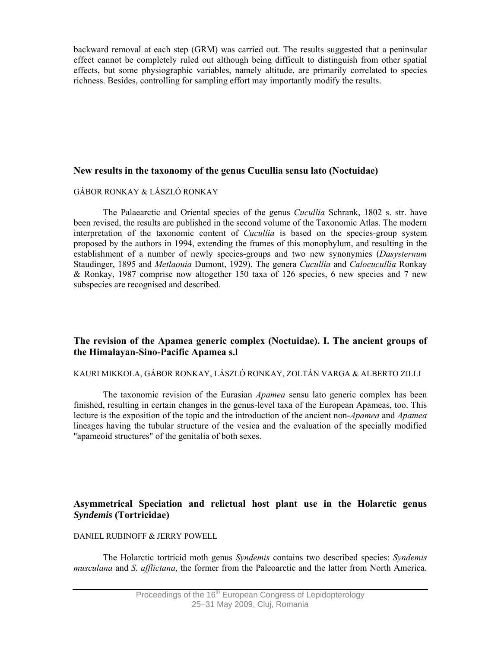backward removal at each step (GRM) was carried out. The results suggested that a peninsular effect cannot be completely ruled out although being difficult to distinguish from other spatial effects, but some physiographic variables, namely altitude, are primarily correlated to species richness. Besides, controlling for sampling effort may importantly modify the results.

# **New results in the taxonomy of the genus Cucullia sensu lato (Noctuidae)**

### GÁBOR RONKAY & LÁSZLÓ RONKAY

The Palaearctic and Oriental species of the genus *Cucullia* Schrank, 1802 s. str. have been revised, the results are published in the second volume of the Taxonomic Atlas. The modern interpretation of the taxonomic content of *Cucullia* is based on the species-group system proposed by the authors in 1994, extending the frames of this monophylum, and resulting in the establishment of a number of newly species-groups and two new synonymies (*Dasysternum* Staudinger, 1895 and *Metlaouia* Dumont, 1929). The genera *Cucullia* and *Calocucullia* Ronkay & Ronkay, 1987 comprise now altogether 150 taxa of 126 species, 6 new species and 7 new subspecies are recognised and described.

# **The revision of the Apamea generic complex (Noctuidae). I. The ancient groups of the Himalayan-Sino-Pacific Apamea s.l**

# KAURI MIKKOLA, GÁBOR RONKAY, LÁSZLÓ RONKAY, ZOLTÁN VARGA & ALBERTO ZILLI

The taxonomic revision of the Eurasian *Apamea* sensu lato generic complex has been finished, resulting in certain changes in the genus-level taxa of the European Apameas, too. This lecture is the exposition of the topic and the introduction of the ancient non-*Apamea* and *Apamea* lineages having the tubular structure of the vesica and the evaluation of the specially modified "apameoid structures" of the genitalia of both sexes.

# **Asymmetrical Speciation and relictual host plant use in the Holarctic genus**  *Syndemis* **(Tortricidae)**

### DANIEL RUBINOFF & JERRY POWELL

The Holarctic tortricid moth genus *Syndemis* contains two described species: *Syndemis musculana* and *S. afflictana*, the former from the Paleoarctic and the latter from North America.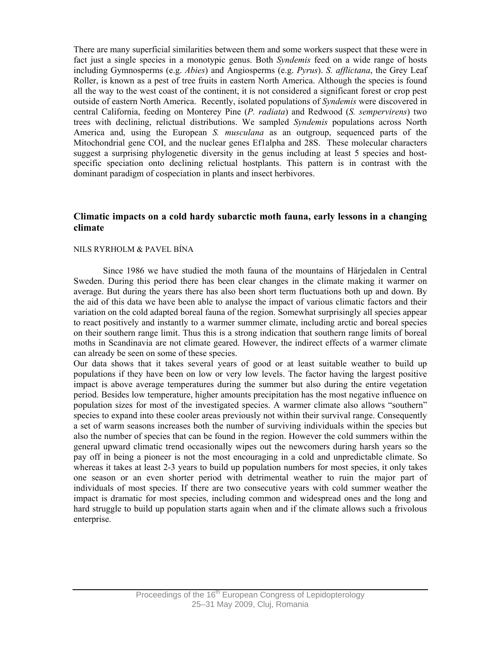There are many superficial similarities between them and some workers suspect that these were in fact just a single species in a monotypic genus. Both *Syndemis* feed on a wide range of hosts including Gymnosperms (e.g. *Abies*) and Angiosperms (e.g. *Pyrus*). *S. afflictana*, the Grey Leaf Roller, is known as a pest of tree fruits in eastern North America. Although the species is found all the way to the west coast of the continent, it is not considered a significant forest or crop pest outside of eastern North America. Recently, isolated populations of *Syndemis* were discovered in central California, feeding on Monterey Pine (*P. radiata*) and Redwood (*S. sempervirens*) two trees with declining, relictual distributions. We sampled *Syndemis* populations across North America and, using the European *S. musculana* as an outgroup, sequenced parts of the Mitochondrial gene COI, and the nuclear genes Ef1alpha and 28S. These molecular characters suggest a surprising phylogenetic diversity in the genus including at least 5 species and hostspecific speciation onto declining relictual hostplants. This pattern is in contrast with the dominant paradigm of cospeciation in plants and insect herbivores.

# **Climatic impacts on a cold hardy subarctic moth fauna, early lessons in a changing climate**

#### NILS RYRHOLM & PAVEL BÍNA

Since 1986 we have studied the moth fauna of the mountains of Härjedalen in Central Sweden. During this period there has been clear changes in the climate making it warmer on average. But during the years there has also been short term fluctuations both up and down. By the aid of this data we have been able to analyse the impact of various climatic factors and their variation on the cold adapted boreal fauna of the region. Somewhat surprisingly all species appear to react positively and instantly to a warmer summer climate, including arctic and boreal species on their southern range limit. Thus this is a strong indication that southern range limits of boreal moths in Scandinavia are not climate geared. However, the indirect effects of a warmer climate can already be seen on some of these species.

Our data shows that it takes several years of good or at least suitable weather to build up populations if they have been on low or very low levels. The factor having the largest positive impact is above average temperatures during the summer but also during the entire vegetation period. Besides low temperature, higher amounts precipitation has the most negative influence on population sizes for most of the investigated species. A warmer climate also allows "southern" species to expand into these cooler areas previously not within their survival range. Consequently a set of warm seasons increases both the number of surviving individuals within the species but also the number of species that can be found in the region. However the cold summers within the general upward climatic trend occasionally wipes out the newcomers during harsh years so the pay off in being a pioneer is not the most encouraging in a cold and unpredictable climate. So whereas it takes at least 2-3 years to build up population numbers for most species, it only takes one season or an even shorter period with detrimental weather to ruin the major part of individuals of most species. If there are two consecutive years with cold summer weather the impact is dramatic for most species, including common and widespread ones and the long and hard struggle to build up population starts again when and if the climate allows such a frivolous enterprise.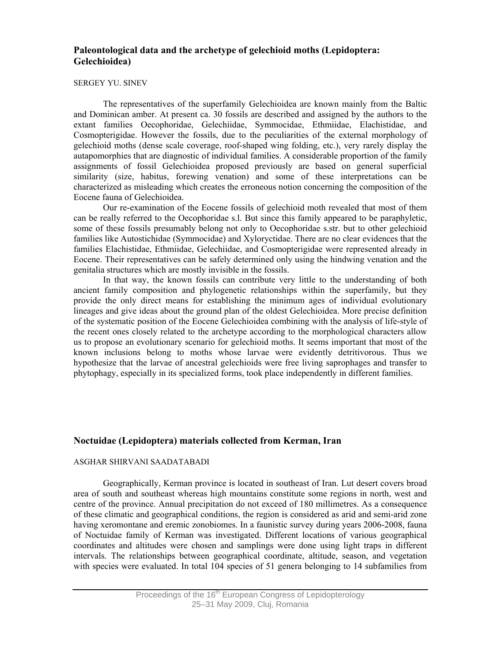# **Paleontological data and the archetype of gelechioid moths (Lepidoptera: Gelechioidea)**

#### SERGEY YU. SINEV

The representatives of the superfamily Gelechioidea are known mainly from the Baltic and Dominican amber. At present ca. 30 fossils are described and assigned by the authors to the extant families Oecophoridae, Gelechiidae, Symmocidae, Ethmiidae, Elachistidae, and Cosmopterigidae. However the fossils, due to the peculiarities of the external morphology of gelechioid moths (dense scale coverage, roof-shaped wing folding, etc.), very rarely display the autapomorphies that are diagnostic of individual families. A considerable proportion of the family assignments of fossil Gelechioidea proposed previously are based on general superficial similarity (size, habitus, forewing venation) and some of these interpretations can be characterized as misleading which creates the erroneous notion concerning the composition of the Eocene fauna of Gelechioidea.

Our re-examination of the Eocene fossils of gelechioid moth revealed that most of them can be really referred to the Oecophoridae s.l. But since this family appeared to be paraphyletic, some of these fossils presumably belong not only to Oecophoridae s.str. but to other gelechioid families like Autostichidae (Symmocidae) and Xyloryctidae. There are no clear evidences that the families Elachistidae, Ethmiidae, Gelechiidae, and Cosmopterigidae were represented already in Eocene. Their representatives can be safely determined only using the hindwing venation and the genitalia structures which are mostly invisible in the fossils.

In that way, the known fossils can contribute very little to the understanding of both ancient family composition and phylogenetic relationships within the superfamily, but they provide the only direct means for establishing the minimum ages of individual evolutionary lineages and give ideas about the ground plan of the oldest Gelechioidea. More precise definition of the systematic position of the Eocene Gelechioidea combining with the analysis of life-style of the recent ones closely related to the archetype according to the morphological characters allow us to propose an evolutionary scenario for gelechioid moths. It seems important that most of the known inclusions belong to moths whose larvae were evidently detritivorous. Thus we hypothesize that the larvae of ancestral gelechioids were free living saprophages and transfer to phytophagy, especially in its specialized forms, took place independently in different families.

# **Noctuidae (Lepidoptera) materials collected from Kerman, Iran**

#### ASGHAR SHIRVANI SAADATABADI

Geographically, Kerman province is located in southeast of Iran. Lut desert covers broad area of south and southeast whereas high mountains constitute some regions in north, west and centre of the province. Annual precipitation do not exceed of 180 millimetres. As a consequence of these climatic and geographical conditions, the region is considered as arid and semi-arid zone having xeromontane and eremic zonobiomes. In a faunistic survey during years 2006-2008, fauna of Noctuidae family of Kerman was investigated. Different locations of various geographical coordinates and altitudes were chosen and samplings were done using light traps in different intervals. The relationships between geographical coordinate, altitude, season, and vegetation with species were evaluated. In total 104 species of 51 genera belonging to 14 subfamilies from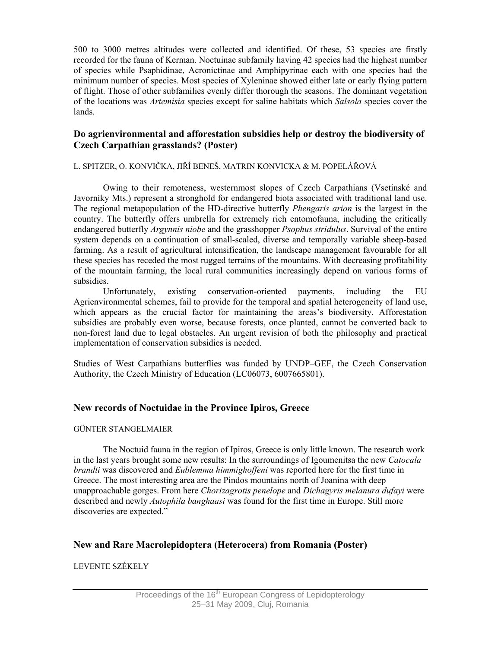500 to 3000 metres altitudes were collected and identified. Of these, 53 species are firstly recorded for the fauna of Kerman. Noctuinae subfamily having 42 species had the highest number of species while Psaphidinae, Acronictinae and Amphipyrinae each with one species had the minimum number of species. Most species of Xyleninae showed either late or early flying pattern of flight. Those of other subfamilies evenly differ thorough the seasons. The dominant vegetation of the locations was *Artemisia* species except for saline habitats which *Salsola* species cover the lands.

# **Do agrienvironmental and afforestation subsidies help or destroy the biodiversity of Czech Carpathian grasslands? (Poster)**

### L. SPITZER, O. KONVIČKA, JIŘÍ BENEŠ, MATRIN KONVICKA & M. POPELÁŘOVÁ

Owing to their remoteness, westernmost slopes of Czech Carpathians (Vsetínské and Javorníky Mts.) represent a stronghold for endangered biota associated with traditional land use. The regional metapopulation of the HD-directive butterfly *Phengaris arion* is the largest in the country. The butterfly offers umbrella for extremely rich entomofauna, including the critically endangered butterfly *Argynnis niobe* and the grasshopper *Psophus stridulus*. Survival of the entire system depends on a continuation of small-scaled, diverse and temporally variable sheep-based farming. As a result of agricultural intensification, the landscape management favourable for all these species has receded the most rugged terrains of the mountains. With decreasing profitability of the mountain farming, the local rural communities increasingly depend on various forms of subsidies.

 Unfortunately, existing conservation-oriented payments, including the EU Agrienvironmental schemes, fail to provide for the temporal and spatial heterogeneity of land use, which appears as the crucial factor for maintaining the areas's biodiversity. Afforestation subsidies are probably even worse, because forests, once planted, cannot be converted back to non-forest land due to legal obstacles. An urgent revision of both the philosophy and practical implementation of conservation subsidies is needed.

Studies of West Carpathians butterflies was funded by UNDP–GEF, the Czech Conservation Authority, the Czech Ministry of Education (LC06073, 6007665801).

# **New records of Noctuidae in the Province Ipiros, Greece**

### GÜNTER STANGELMAIER

The Noctuid fauna in the region of Ipiros, Greece is only little known. The research work in the last years brought some new results: In the surroundings of Igoumenitsa the new *Catocala brandti* was discovered and *Eublemma himmighoffeni* was reported here for the first time in Greece. The most interesting area are the Pindos mountains north of Joanina with deep unapproachable gorges. From here *Chorizagrotis penelope* and *Dichagyris melanura dufayi* were described and newly *Autophila banghaasi* was found for the first time in Europe. Still more discoveries are expected."

# **New and Rare Macrolepidoptera (Heterocera) from Romania (Poster)**

# LEVENTE SZÉKELY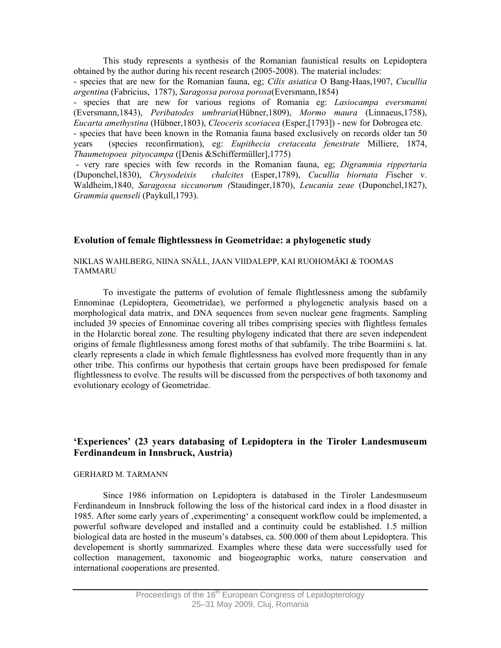This study represents a synthesis of the Romanian faunistical results on Lepidoptera obtained by the author during his recent research (2005-2008). The material includes:

- species that are new for the Romanian fauna, eg; *Cilix asiatica* O Bang-Haas,1907, *Cucullia argentina* (Fabricius, 1787), *Saragossa porosa porosa*(Eversmann,1854)

- species that are new for various regions of Romania eg: *Lasiocampa eversmanni*  (Eversmann,1843), *Peribatodes umbraria*(Hübner,1809), *Mormo maura* (Linnaeus,1758), *Eucarta amethystina* (Hübner,1803), *Cleoceris scoriacea* (Esper,[1793]) - new for Dobrogea etc. - species that have been known in the Romania fauna based exclusively on records older tan 50 years (species reconfirmation), eg: *Eupithecia cretaceata fenestrate* Milliere, 1874,

*Thaumetopoea pityocampa* ([Denis &Schiffermüller],1775)

 - very rare species with few records in the Romanian fauna, eg; *Digrammia rippertaria* (Duponchel,1830), *Chrysodeixis chalcites* (Esper,1789), *Cucullia biornata F*ischer v. Waldheim,1840, *Saragossa siccanorum (*Staudinger,1870), *Leucania zeae* (Duponchel,1827), *Grammia quenseli* (Paykull,1793).

# **Evolution of female flightlessness in Geometridae: a phylogenetic study**

NIKLAS WAHLBERG, NIINA SNÄLL, JAAN VIIDALEPP, KAI RUOHOMÄKI & TOOMAS TAMMARU

To investigate the patterns of evolution of female flightlessness among the subfamily Ennominae (Lepidoptera, Geometridae), we performed a phylogenetic analysis based on a morphological data matrix, and DNA sequences from seven nuclear gene fragments. Sampling included 39 species of Ennominae covering all tribes comprising species with flightless females in the Holarctic boreal zone. The resulting phylogeny indicated that there are seven independent origins of female flightlessness among forest moths of that subfamily. The tribe Boarmiini s. lat. clearly represents a clade in which female flightlessness has evolved more frequently than in any other tribe. This confirms our hypothesis that certain groups have been predisposed for female flightlessness to evolve. The results will be discussed from the perspectives of both taxonomy and evolutionary ecology of Geometridae.

# **'Experiences' (23 years databasing of Lepidoptera in the Tiroler Landesmuseum Ferdinandeum in Innsbruck, Austria)**

#### GERHARD M. TARMANN

Since 1986 information on Lepidoptera is databased in the Tiroler Landesmuseum Ferdinandeum in Innsbruck following the loss of the historical card index in a flood disaster in 1985. After some early years of 'experimenting' a consequent workflow could be implemented, a powerful software developed and installed and a continuity could be established. 1.5 million biological data are hosted in the museum's databses, ca. 500.000 of them about Lepidoptera. This developement is shortly summarized. Examples where these data were successfully used for collection management, taxonomic and biogeographic works, nature conservation and international cooperations are presented.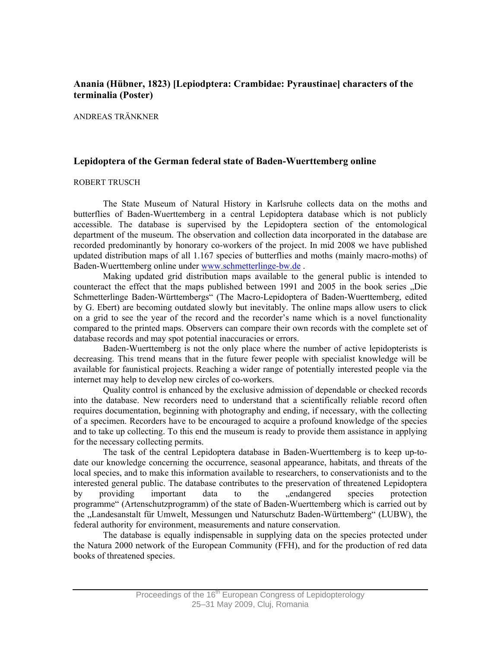# **Anania (Hübner, 1823) [Lepiodptera: Crambidae: Pyraustinae] characters of the terminalia (Poster)**

#### ANDREAS TRÄNKNER

# **Lepidoptera of the German federal state of Baden-Wuerttemberg online**

#### ROBERT TRUSCH

The State Museum of Natural History in Karlsruhe collects data on the moths and butterflies of Baden-Wuerttemberg in a central Lepidoptera database which is not publicly accessible. The database is supervised by the Lepidoptera section of the entomological department of the museum. The observation and collection data incorporated in the database are recorded predominantly by honorary co-workers of the project. In mid 2008 we have published updated distribution maps of all 1.167 species of butterflies and moths (mainly macro-moths) of Baden-Wuerttemberg online under www.schmetterlinge-bw.de .

Making updated grid distribution maps available to the general public is intended to counteract the effect that the maps published between 1991 and 2005 in the book series . Die Schmetterlinge Baden-Württembergs" (The Macro-Lepidoptera of Baden-Wuerttemberg, edited by G. Ebert) are becoming outdated slowly but inevitably. The online maps allow users to click on a grid to see the year of the record and the recorder's name which is a novel functionality compared to the printed maps. Observers can compare their own records with the complete set of database records and may spot potential inaccuracies or errors.

Baden-Wuerttemberg is not the only place where the number of active lepidopterists is decreasing. This trend means that in the future fewer people with specialist knowledge will be available for faunistical projects. Reaching a wider range of potentially interested people via the internet may help to develop new circles of co-workers.

Quality control is enhanced by the exclusive admission of dependable or checked records into the database. New recorders need to understand that a scientifically reliable record often requires documentation, beginning with photography and ending, if necessary, with the collecting of a specimen. Recorders have to be encouraged to acquire a profound knowledge of the species and to take up collecting. To this end the museum is ready to provide them assistance in applying for the necessary collecting permits.

The task of the central Lepidoptera database in Baden-Wuerttemberg is to keep up-todate our knowledge concerning the occurrence, seasonal appearance, habitats, and threats of the local species, and to make this information available to researchers, to conservationists and to the interested general public. The database contributes to the preservation of threatened Lepidoptera by providing important data to the endangered species protection programme" (Artenschutzprogramm) of the state of Baden-Wuerttemberg which is carried out by the "Landesanstalt für Umwelt, Messungen und Naturschutz Baden-Württemberg" (LUBW), the federal authority for environment, measurements and nature conservation.

The database is equally indispensable in supplying data on the species protected under the Natura 2000 network of the European Community (FFH), and for the production of red data books of threatened species.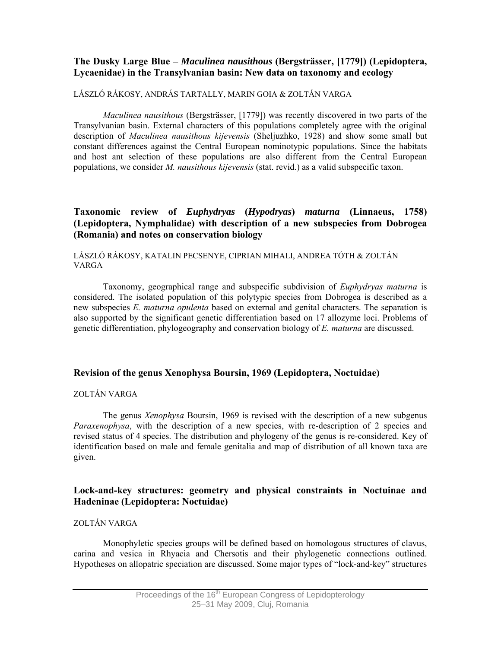# **The Dusky Large Blue –** *Maculinea nausithous* **(Bergsträsser, [1779]) (Lepidoptera, Lycaenidae) in the Transylvanian basin: New data on taxonomy and ecology**

## LÁSZLÓ RÁKOSY, ANDRÁS TARTALLY, MARIN GOIA & ZOLTÁN VARGA

*Maculinea nausithous* (Bergsträsser, [1779]) was recently discovered in two parts of the Transylvanian basin. External characters of this populations completely agree with the original description of *Maculinea nausithous kijevensis* (Sheljuzhko, 1928) and show some small but constant differences against the Central European nominotypic populations. Since the habitats and host ant selection of these populations are also different from the Central European populations, we consider *M. nausithous kijevensis* (stat. revid.) as a valid subspecific taxon.

# **Taxonomic review of** *Euphydryas* **(***Hypodryas***)** *maturna* **(Linnaeus, 1758) (Lepidoptera, Nymphalidae) with description of a new subspecies from Dobrogea (Romania) and notes on conservation biology**

## LÁSZLÓ RÁKOSY, KATALIN PECSENYE, CIPRIAN MIHALI, ANDREA TÓTH & ZOLTÁN VARGA

Taxonomy, geographical range and subspecific subdivision of *Euphydryas maturna* is considered. The isolated population of this polytypic species from Dobrogea is described as a new subspecies *E. maturna opulenta* based on external and genital characters. The separation is also supported by the significant genetic differentiation based on 17 allozyme loci. Problems of genetic differentiation, phylogeography and conservation biology of *E. maturna* are discussed.

# **Revision of the genus Xenophysa Boursin, 1969 (Lepidoptera, Noctuidae)**

## ZOLTÁN VARGA

The genus *Xenophysa* Boursin, 1969 is revised with the description of a new subgenus *Paraxenophysa*, with the description of a new species, with re-description of 2 species and revised status of 4 species. The distribution and phylogeny of the genus is re-considered. Key of identification based on male and female genitalia and map of distribution of all known taxa are given.

# **Lock-and-key structures: geometry and physical constraints in Noctuinae and Hadeninae (Lepidoptera: Noctuidae)**

# ZOLTÁN VARGA

Monophyletic species groups will be defined based on homologous structures of clavus, carina and vesica in Rhyacia and Chersotis and their phylogenetic connections outlined. Hypotheses on allopatric speciation are discussed. Some major types of "lock-and-key" structures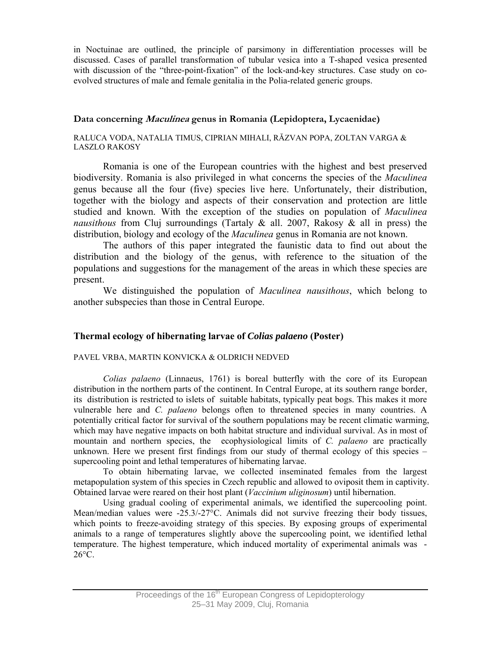in Noctuinae are outlined, the principle of parsimony in differentiation processes will be discussed. Cases of parallel transformation of tubular vesica into a T-shaped vesica presented with discussion of the "three-point-fixation" of the lock-and-key structures. Case study on coevolved structures of male and female genitalia in the Polia-related generic groups.

# **Data concerning Maculinea genus in Romania (Lepidoptera, Lycaenidae)**

### RALUCA VODA, NATALIA TIMUS, CIPRIAN MIHALI, RĂZVAN POPA, ZOLTAN VARGA & LASZLO RAKOSY

Romania is one of the European countries with the highest and best preserved biodiversity. Romania is also privileged in what concerns the species of the *Maculinea* genus because all the four (five) species live here. Unfortunately, their distribution, together with the biology and aspects of their conservation and protection are little studied and known. With the exception of the studies on population of *Maculinea nausithous* from Cluj surroundings (Tartaly & all. 2007, Rakosy & all in press) the distribution, biology and ecology of the *Maculinea* genus in Romania are not known.

 The authors of this paper integrated the faunistic data to find out about the distribution and the biology of the genus, with reference to the situation of the populations and suggestions for the management of the areas in which these species are present.

 We distinguished the population of *Maculinea nausithous*, which belong to another subspecies than those in Central Europe.

# **Thermal ecology of hibernating larvae of** *Colias palaeno* **(Poster)**

# PAVEL VRBA, MARTIN KONVICKA & OLDRICH NEDVED

*Colias palaeno* (Linnaeus, 1761) is boreal butterfly with the core of its European distribution in the northern parts of the continent. In Central Europe, at its southern range border, its distribution is restricted to islets of suitable habitats, typically peat bogs. This makes it more vulnerable here and *C. palaeno* belongs often to threatened species in many countries. A potentially critical factor for survival of the southern populations may be recent climatic warming, which may have negative impacts on both habitat structure and individual survival. As in most of mountain and northern species, the ecophysiological limits of *C. palaeno* are practically unknown. Here we present first findings from our study of thermal ecology of this species  $$ supercooling point and lethal temperatures of hibernating larvae.

To obtain hibernating larvae, we collected inseminated females from the largest metapopulation system of this species in Czech republic and allowed to oviposit them in captivity. Obtained larvae were reared on their host plant (*Vaccinium uliginosum*) until hibernation.

Using gradual cooling of experimental animals, we identified the supercooling point. Mean/median values were -25.3/-27°C. Animals did not survive freezing their body tissues, which points to freeze-avoiding strategy of this species. By exposing groups of experimental animals to a range of temperatures slightly above the supercooling point, we identified lethal temperature. The highest temperature, which induced mortality of experimental animals was -  $26^{\circ}$ C.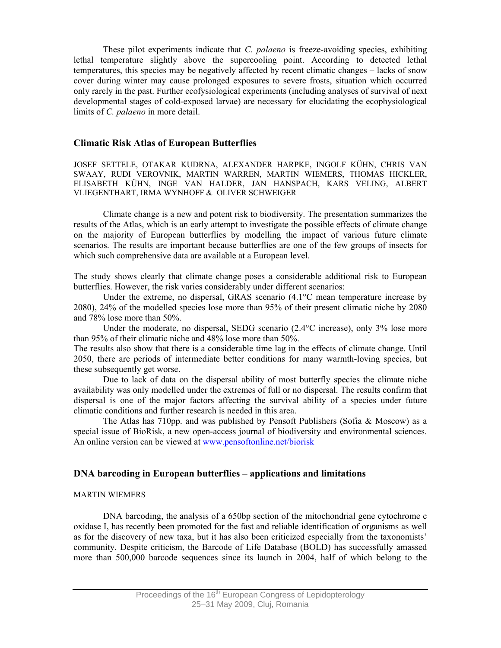These pilot experiments indicate that *C. palaeno* is freeze-avoiding species, exhibiting lethal temperature slightly above the supercooling point. According to detected lethal temperatures, this species may be negatively affected by recent climatic changes – lacks of snow cover during winter may cause prolonged exposures to severe frosts, situation which occurred only rarely in the past. Further ecofysiological experiments (including analyses of survival of next developmental stages of cold-exposed larvae) are necessary for elucidating the ecophysiological limits of *C. palaeno* in more detail.

#### **Climatic Risk Atlas of European Butterflies**

JOSEF SETTELE, OTAKAR KUDRNA, ALEXANDER HARPKE, INGOLF KÜHN, CHRIS VAN SWAAY, RUDI VEROVNIK, MARTIN WARREN, MARTIN WIEMERS, THOMAS HICKLER, ELISABETH KÜHN, INGE VAN HALDER, JAN HANSPACH, KARS VELING, ALBERT VLIEGENTHART, IRMA WYNHOFF & OLIVER SCHWEIGER

Climate change is a new and potent risk to biodiversity. The presentation summarizes the results of the Atlas, which is an early attempt to investigate the possible effects of climate change on the majority of European butterflies by modelling the impact of various future climate scenarios. The results are important because butterflies are one of the few groups of insects for which such comprehensive data are available at a European level.

The study shows clearly that climate change poses a considerable additional risk to European butterflies. However, the risk varies considerably under different scenarios:

Under the extreme, no dispersal, GRAS scenario (4.1°C mean temperature increase by 2080), 24% of the modelled species lose more than 95% of their present climatic niche by 2080 and 78% lose more than 50%.

Under the moderate, no dispersal, SEDG scenario  $(2.4^{\circ}$ C increase), only 3% lose more than 95% of their climatic niche and 48% lose more than 50%.

The results also show that there is a considerable time lag in the effects of climate change. Until 2050, there are periods of intermediate better conditions for many warmth-loving species, but these subsequently get worse.

 Due to lack of data on the dispersal ability of most butterfly species the climate niche availability was only modelled under the extremes of full or no dispersal. The results confirm that dispersal is one of the major factors affecting the survival ability of a species under future climatic conditions and further research is needed in this area.

The Atlas has 710pp. and was published by Pensoft Publishers (Sofia & Moscow) as a special issue of BioRisk, a new open-access journal of biodiversity and environmental sciences. An online version can be viewed at www.pensoftonline.net/biorisk

### **DNA barcoding in European butterflies – applications and limitations**

#### MARTIN WIEMERS

DNA barcoding, the analysis of a 650bp section of the mitochondrial gene cytochrome c oxidase I, has recently been promoted for the fast and reliable identification of organisms as well as for the discovery of new taxa, but it has also been criticized especially from the taxonomists' community. Despite criticism, the Barcode of Life Database (BOLD) has successfully amassed more than 500,000 barcode sequences since its launch in 2004, half of which belong to the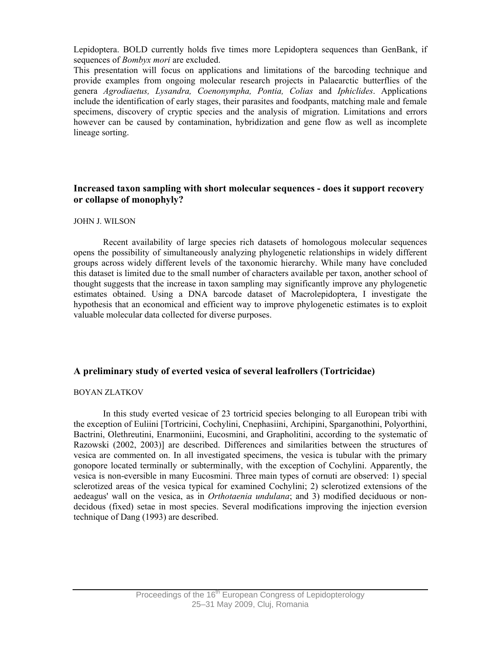Lepidoptera. BOLD currently holds five times more Lepidoptera sequences than GenBank, if sequences of *Bombyx mori* are excluded.

This presentation will focus on applications and limitations of the barcoding technique and provide examples from ongoing molecular research projects in Palaearctic butterflies of the genera *Agrodiaetus, Lysandra, Coenonympha, Pontia, Colias* and *Iphiclides*. Applications include the identification of early stages, their parasites and foodpants, matching male and female specimens, discovery of cryptic species and the analysis of migration. Limitations and errors however can be caused by contamination, hybridization and gene flow as well as incomplete lineage sorting.

# **Increased taxon sampling with short molecular sequences - does it support recovery or collapse of monophyly?**

#### JOHN J. WILSON

Recent availability of large species rich datasets of homologous molecular sequences opens the possibility of simultaneously analyzing phylogenetic relationships in widely different groups across widely different levels of the taxonomic hierarchy. While many have concluded this dataset is limited due to the small number of characters available per taxon, another school of thought suggests that the increase in taxon sampling may significantly improve any phylogenetic estimates obtained. Using a DNA barcode dataset of Macrolepidoptera, I investigate the hypothesis that an economical and efficient way to improve phylogenetic estimates is to exploit valuable molecular data collected for diverse purposes.

### **A preliminary study of everted vesica of several leafrollers (Tortricidae)**

### BOYAN ZLATKOV

In this study everted vesicae of 23 tortricid species belonging to all European tribi with the exception of Euliini [Tortricini, Cochylini, Cnephasiini, Archipini, Sparganothini, Polyorthini, Bactrini, Olethreutini, Enarmoniini, Eucosmini, and Grapholitini, according to the systematic of Razowski (2002, 2003)] are described. Differences and similarities between the structures of vesica are commented on. In all investigated specimens, the vesica is tubular with the primary gonopore located terminally or subterminally, with the exception of Cochylini. Apparently, the vesica is non-eversible in many Eucosmini. Three main types of cornuti are observed: 1) special sclerotized areas of the vesica typical for examined Cochylini; 2) sclerotized extensions of the aedeagus' wall on the vesica, as in *Orthotaenia undulana*; and 3) modified deciduous or nondecidous (fixed) setae in most species. Several modifications improving the injection eversion technique of Dang (1993) are described.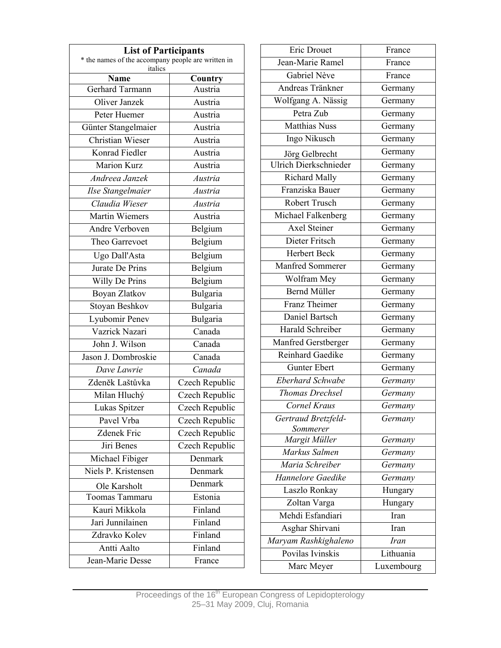| <b>List of Participants</b>                                   |                |  |  |  |
|---------------------------------------------------------------|----------------|--|--|--|
| * the names of the accompany people are written in<br>italics |                |  |  |  |
| <b>Name</b>                                                   | Country        |  |  |  |
| Gerhard Tarmann                                               | Austria        |  |  |  |
| Oliver Janzek                                                 | Austria        |  |  |  |
| Peter Huemer                                                  | Austria        |  |  |  |
| Günter Stangelmaier                                           | Austria        |  |  |  |
| Christian Wieser                                              | Austria        |  |  |  |
| Konrad Fiedler                                                | Austria        |  |  |  |
| <b>Marion Kurz</b>                                            | Austria        |  |  |  |
| Andreea Janzek                                                | Austria        |  |  |  |
| Ilse Stangelmaier                                             | Austria        |  |  |  |
| Claudia Wieser                                                | Austria        |  |  |  |
| Martin Wiemers                                                | Austria        |  |  |  |
| Andre Verboven                                                | Belgium        |  |  |  |
| Theo Garrevoet                                                | Belgium        |  |  |  |
| Ugo Dall'Asta                                                 | Belgium        |  |  |  |
| Jurate De Prins                                               | Belgium        |  |  |  |
| Willy De Prins                                                | Belgium        |  |  |  |
| Boyan Zlatkov                                                 | Bulgaria       |  |  |  |
| Stoyan Beshkov                                                | Bulgaria       |  |  |  |
| Lyubomir Penev                                                | Bulgaria       |  |  |  |
| Vazrick Nazari                                                | Canada         |  |  |  |
| John J. Wilson                                                | Canada         |  |  |  |
| Jason J. Dombroskie                                           | Canada         |  |  |  |
| Dave Lawrie                                                   | Canada         |  |  |  |
| Zdeněk Laštůvka                                               | Czech Republic |  |  |  |
| Milan Hluchý                                                  | Czech Republic |  |  |  |
| Lukas Spitzer                                                 | Czech Republic |  |  |  |
| Pavel Vrba                                                    | Czech Republic |  |  |  |
| <b>Zdenek Fric</b>                                            | Czech Republic |  |  |  |
| Jiri Benes                                                    | Czech Republic |  |  |  |
| Michael Fibiger                                               | Denmark        |  |  |  |
| Niels P. Kristensen                                           | Denmark        |  |  |  |
| Ole Karsholt                                                  | Denmark        |  |  |  |
| Toomas Tammaru                                                | Estonia        |  |  |  |
| Kauri Mikkola                                                 | Finland        |  |  |  |
| Jari Junnilainen                                              | Finland        |  |  |  |
| Zdravko Kolev                                                 | Finland        |  |  |  |
| Antti Aalto                                                   | Finland        |  |  |  |
| Jean-Marie Desse                                              | France         |  |  |  |
|                                                               |                |  |  |  |

| <b>Eric Drouet</b>      | France      |  |  |  |
|-------------------------|-------------|--|--|--|
| Jean-Marie Ramel        | France      |  |  |  |
| Gabriel Nève            | France      |  |  |  |
| Andreas Tränkner        | Germany     |  |  |  |
| Wolfgang A. Nässig      | Germany     |  |  |  |
| Petra Zub               | Germany     |  |  |  |
| <b>Matthias Nuss</b>    | Germany     |  |  |  |
| Ingo Nikusch            | Germany     |  |  |  |
| Jörg Gelbrecht          | Germany     |  |  |  |
| Ulrich Dierkschnieder   | Germany     |  |  |  |
| <b>Richard Mally</b>    | Germany     |  |  |  |
| Franziska Bauer         | Germany     |  |  |  |
| <b>Robert Trusch</b>    | Germany     |  |  |  |
| Michael Falkenberg      | Germany     |  |  |  |
| <b>Axel Steiner</b>     | Germany     |  |  |  |
| Dieter Fritsch          | Germany     |  |  |  |
| <b>Herbert Beck</b>     | Germany     |  |  |  |
| <b>Manfred Sommerer</b> | Germany     |  |  |  |
| Wolfram Mey             | Germany     |  |  |  |
| <b>Bernd Müller</b>     | Germany     |  |  |  |
| Franz Theimer           | Germany     |  |  |  |
| Daniel Bartsch          | Germany     |  |  |  |
| Harald Schreiber        | Germany     |  |  |  |
| Manfred Gerstberger     | Germany     |  |  |  |
| Reinhard Gaedike        | Germany     |  |  |  |
| <b>Gunter Ebert</b>     | Germany     |  |  |  |
| <b>Eberhard Schwabe</b> | Germany     |  |  |  |
| <b>Thomas Drechsel</b>  | Germany     |  |  |  |
| <b>Cornel Kraus</b>     | Germany     |  |  |  |
| Gertraud Bretzfeld-     | Germany     |  |  |  |
| Sommerer                |             |  |  |  |
| Margit Müller           | Germany     |  |  |  |
| Markus Salmen           | Germany     |  |  |  |
| Maria Schreiber         | Germany     |  |  |  |
| Hannelore Gaedike       | Germany     |  |  |  |
| Laszlo Ronkay           | Hungary     |  |  |  |
| Zoltan Varga            | Hungary     |  |  |  |
| Mehdi Esfandiari        | Iran        |  |  |  |
| Asghar Shirvani         | Iran        |  |  |  |
| Maryam Rashkighaleno    | <b>Iran</b> |  |  |  |
| Povilas Ivinskis        | Lithuania   |  |  |  |
| Marc Meyer              | Luxembourg  |  |  |  |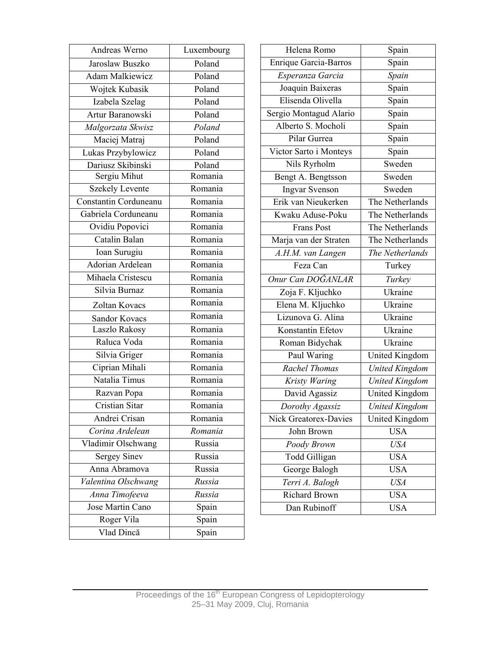|                                                                                                          | Andreas Werno          | Helena Romo<br>Luxembourg      |                       |                              | Spain                 |  |
|----------------------------------------------------------------------------------------------------------|------------------------|--------------------------------|-----------------------|------------------------------|-----------------------|--|
|                                                                                                          | Jaroslaw Buszko        | Poland                         |                       | <b>Enrique Garcia-Barros</b> | Spain                 |  |
|                                                                                                          | <b>Adam Malkiewicz</b> | Poland                         |                       | Esperanza Garcia             | Spain                 |  |
|                                                                                                          | Wojtek Kubasik         | Poland<br>Poland<br>Poland     |                       | Joaquin Baixeras             | Spain                 |  |
|                                                                                                          | Izabela Szelag         |                                |                       | Elisenda Olivella            | Spain                 |  |
|                                                                                                          | Artur Baranowski       |                                |                       | Sergio Montagud Alario       | Spain                 |  |
|                                                                                                          | Malgorzata Skwisz      | Poland                         |                       | Alberto S. Mocholi           | Spain                 |  |
|                                                                                                          | Maciej Matraj          | Poland                         |                       | Pilar Gurrea                 | Spain                 |  |
|                                                                                                          | Lukas Przybylowicz     | Poland                         |                       | Victor Sarto i Monteys       | Spain                 |  |
|                                                                                                          | Dariusz Skibinski      | Poland                         |                       | Nils Ryrholm                 | Sweden                |  |
|                                                                                                          | Sergiu Mihut           | Romania                        |                       | Bengt A. Bengtsson           | Sweden                |  |
| <b>Szekely Levente</b>                                                                                   |                        | Romania                        | <b>Ingvar Svenson</b> |                              | Sweden                |  |
|                                                                                                          | Constantin Corduneanu  | Romania                        | Erik van Nieukerken   |                              | The Netherlands       |  |
|                                                                                                          | Gabriela Corduneanu    | Romania                        | Kwaku Aduse-Poku      |                              |                       |  |
|                                                                                                          | Ovidiu Popovici        | Romania                        |                       | <b>Frans Post</b>            | The Netherlands       |  |
|                                                                                                          | Catalin Balan          | Romania                        |                       | Marja van der Straten        | The Netherlands       |  |
| Ioan Surugiu<br>Adorian Ardelean<br>Mihaela Cristescu<br>Silvia Burnaz<br>Zoltan Kovacs<br>Sandor Kovacs |                        | Romania                        |                       | A.H.M. van Langen            | The Netherlands       |  |
|                                                                                                          |                        | Romania<br>Feza Can<br>Romania |                       |                              | Turkey                |  |
|                                                                                                          |                        |                                |                       | Onur Can DOĞANLAR            | Turkey                |  |
|                                                                                                          |                        | Romania                        |                       | Zoja F. Kljuchko             | Ukraine               |  |
|                                                                                                          |                        | Romania                        |                       | Elena M. Kljuchko            | Ukraine               |  |
|                                                                                                          |                        | Romania                        |                       | Lizunova G. Alina            | Ukraine               |  |
|                                                                                                          | Laszlo Rakosy          | Romania                        |                       | Konstantin Efetov            | Ukraine               |  |
| Raluca Voda<br>Silvia Griger<br>Ciprian Mihali<br>Natalia Timus                                          |                        | Romania                        | Roman Bidychak        |                              | Ukraine               |  |
|                                                                                                          |                        | Romania<br>Romania<br>Romania  |                       | Paul Waring                  | <b>United Kingdom</b> |  |
|                                                                                                          |                        |                                |                       | Rachel Thomas                | <b>United Kingdom</b> |  |
|                                                                                                          |                        |                                |                       | Kristy Waring                | <b>United Kingdom</b> |  |
|                                                                                                          | Razvan Popa            | Romania                        | David Agassiz         |                              | <b>United Kingdom</b> |  |
|                                                                                                          | Cristian Sitar         | Romania                        |                       | Dorothy Agassiz              | <b>United Kingdom</b> |  |
|                                                                                                          | Andrei Crisan          | Romania                        |                       | Nick Greatorex-Davies        | United Kingdom        |  |
|                                                                                                          | Corina Ardelean        | Romania                        |                       | John Brown                   | <b>USA</b>            |  |
|                                                                                                          | Vladimir Olschwang     | Russia                         |                       | Poody Brown                  | <b>USA</b>            |  |
|                                                                                                          | <b>Sergey Sinev</b>    | Russia                         |                       | Todd Gilligan                | <b>USA</b>            |  |
|                                                                                                          | Anna Abramova          | Russia                         |                       | George Balogh                | <b>USA</b>            |  |
|                                                                                                          | Valentina Olschwang    | Russia                         |                       | Terri A. Balogh              | <b>USA</b>            |  |
|                                                                                                          | Anna Timofeeva         | Russia                         |                       | Richard Brown                | <b>USA</b>            |  |
|                                                                                                          | Jose Martin Cano       | Spain                          |                       | Dan Rubinoff                 | <b>USA</b>            |  |
|                                                                                                          | Roger Vila             | Spain                          |                       |                              |                       |  |
|                                                                                                          | Vlad Dincă             | Spain                          |                       |                              |                       |  |
|                                                                                                          |                        |                                |                       |                              |                       |  |